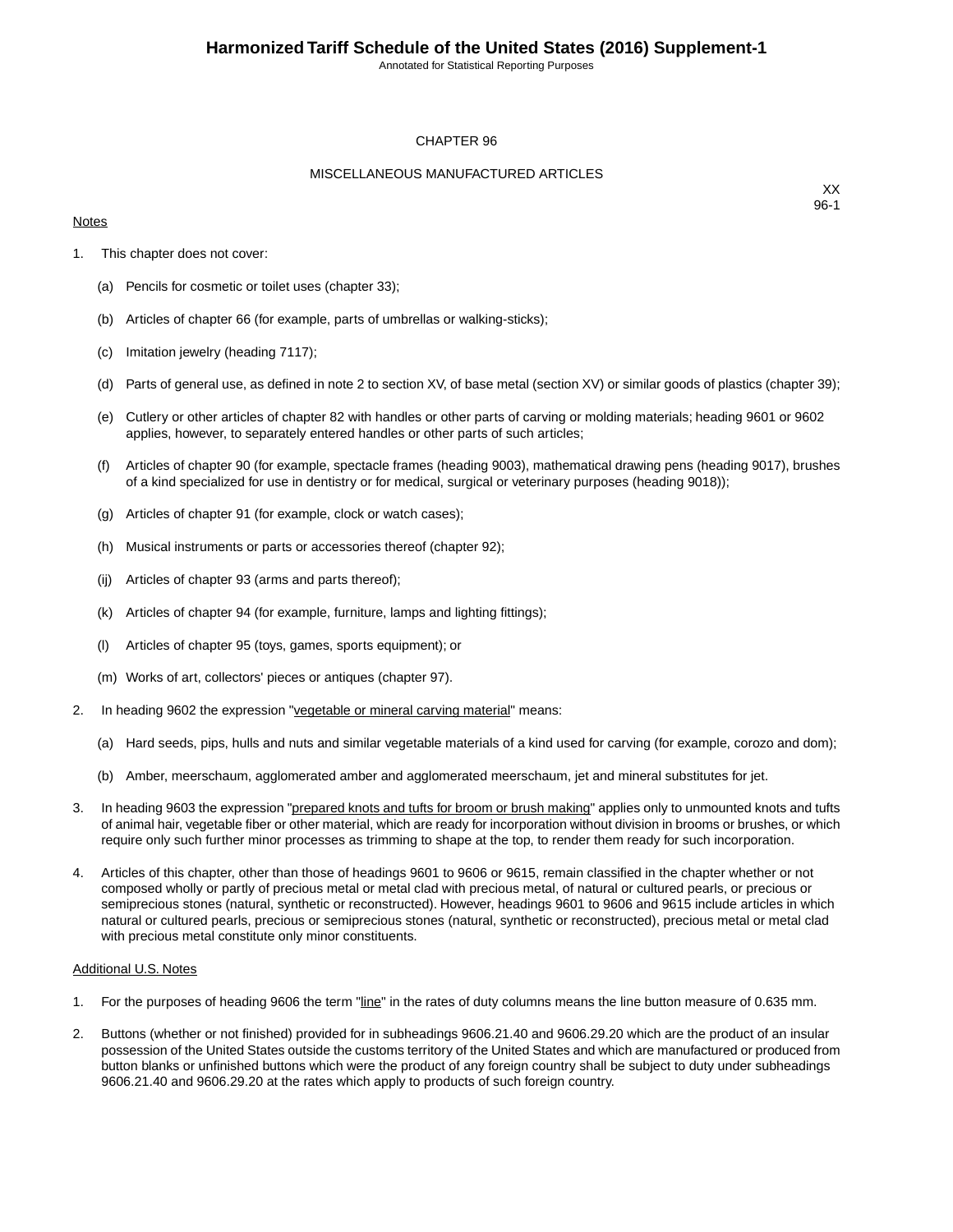Annotated for Statistical Reporting Purposes

#### CHAPTER 96

#### MISCELLANEOUS MANUFACTURED ARTICLES

#### **Notes**

XX 96-1

- 1. This chapter does not cover:
	- (a) Pencils for cosmetic or toilet uses (chapter 33);
	- (b) Articles of chapter 66 (for example, parts of umbrellas or walking-sticks);
	- (c) Imitation jewelry (heading 7117);
	- (d) Parts of general use, as defined in note 2 to section XV, of base metal (section XV) or similar goods of plastics (chapter 39);
	- (e) Cutlery or other articles of chapter 82 with handles or other parts of carving or molding materials; heading 9601 or 9602 applies, however, to separately entered handles or other parts of such articles;
	- (f) Articles of chapter 90 (for example, spectacle frames (heading 9003), mathematical drawing pens (heading 9017), brushes of a kind specialized for use in dentistry or for medical, surgical or veterinary purposes (heading 9018));
	- (g) Articles of chapter 91 (for example, clock or watch cases);
	- (h) Musical instruments or parts or accessories thereof (chapter 92);
	- (ij) Articles of chapter 93 (arms and parts thereof);
	- (k) Articles of chapter 94 (for example, furniture, lamps and lighting fittings);
	- (l) Articles of chapter 95 (toys, games, sports equipment); or
	- (m) Works of art, collectors' pieces or antiques (chapter 97).
- 2. In heading 9602 the expression "vegetable or mineral carving material" means:
	- (a) Hard seeds, pips, hulls and nuts and similar vegetable materials of a kind used for carving (for example, corozo and dom);
	- (b) Amber, meerschaum, agglomerated amber and agglomerated meerschaum, jet and mineral substitutes for jet.
- 3. In heading 9603 the expression "prepared knots and tufts for broom or brush making" applies only to unmounted knots and tufts of animal hair, vegetable fiber or other material, which are ready for incorporation without division in brooms or brushes, or which require only such further minor processes as trimming to shape at the top, to render them ready for such incorporation.
- 4. Articles of this chapter, other than those of headings 9601 to 9606 or 9615, remain classified in the chapter whether or not composed wholly or partly of precious metal or metal clad with precious metal, of natural or cultured pearls, or precious or semiprecious stones (natural, synthetic or reconstructed). However, headings 9601 to 9606 and 9615 include articles in which natural or cultured pearls, precious or semiprecious stones (natural, synthetic or reconstructed), precious metal or metal clad with precious metal constitute only minor constituents.

#### Additional U.S. Notes

- 1. For the purposes of heading 9606 the term "line" in the rates of duty columns means the line button measure of 0.635 mm.
- 2. Buttons (whether or not finished) provided for in subheadings 9606.21.40 and 9606.29.20 which are the product of an insular possession of the United States outside the customs territory of the United States and which are manufactured or produced from button blanks or unfinished buttons which were the product of any foreign country shall be subject to duty under subheadings 9606.21.40 and 9606.29.20 at the rates which apply to products of such foreign country.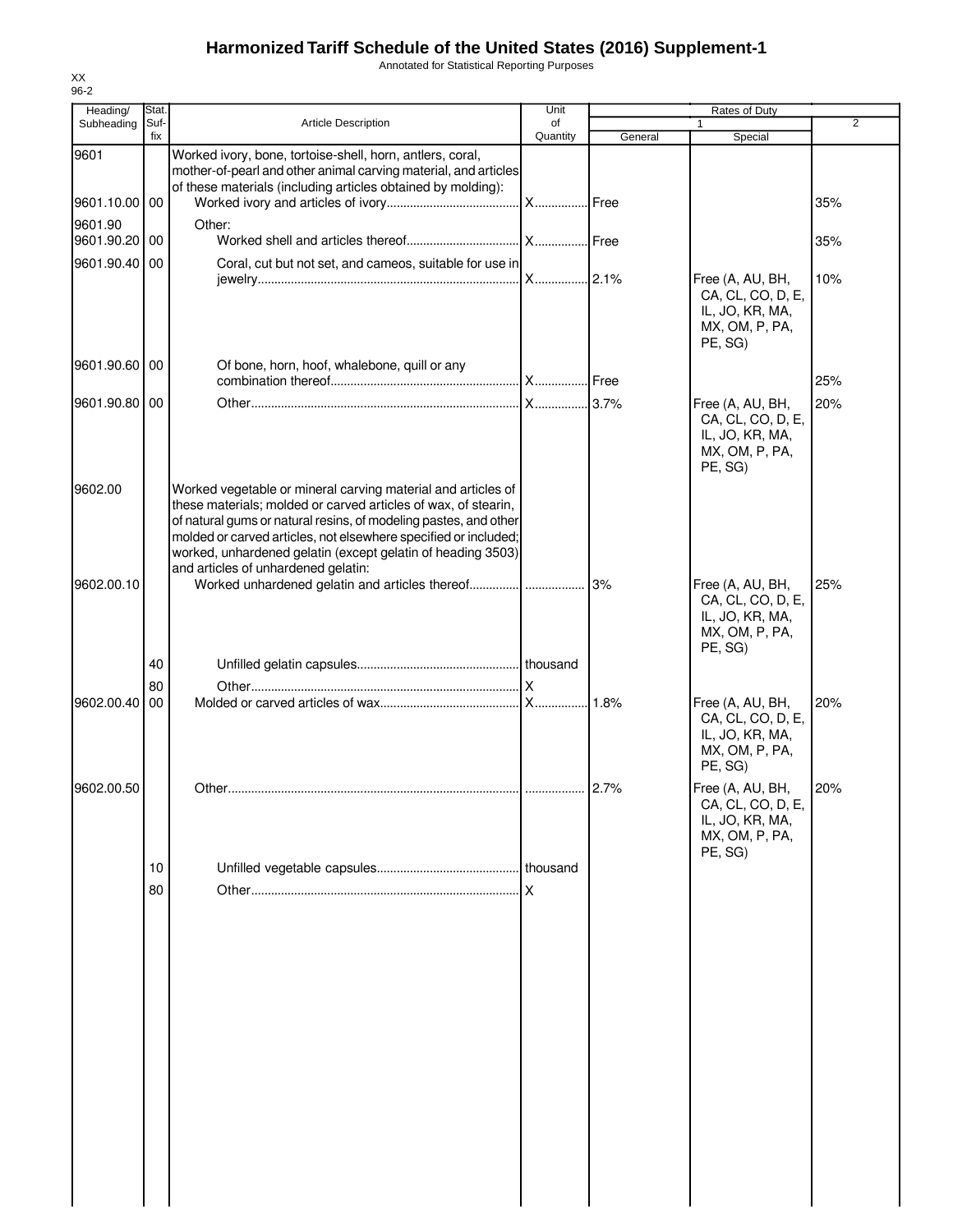Annotated for Statistical Reporting Purposes

| Heading/      | Stat.       |                                                                                                                                                                                                                                                                                                                                                                             | Unit           |         | Rates of Duty                                                                         |     |
|---------------|-------------|-----------------------------------------------------------------------------------------------------------------------------------------------------------------------------------------------------------------------------------------------------------------------------------------------------------------------------------------------------------------------------|----------------|---------|---------------------------------------------------------------------------------------|-----|
| Subheading    | Suf-<br>fix | <b>Article Description</b>                                                                                                                                                                                                                                                                                                                                                  | of<br>Quantity | General | 1<br>Special                                                                          | 2   |
| 9601          |             | Worked ivory, bone, tortoise-shell, horn, antlers, coral,<br>mother-of-pearl and other animal carving material, and articles                                                                                                                                                                                                                                                |                |         |                                                                                       |     |
| 9601.10.00 00 |             | of these materials (including articles obtained by molding):                                                                                                                                                                                                                                                                                                                |                |         |                                                                                       | 35% |
| 9601.90       |             | Other:                                                                                                                                                                                                                                                                                                                                                                      |                |         |                                                                                       |     |
| 9601.90.20    | 00          |                                                                                                                                                                                                                                                                                                                                                                             |                |         |                                                                                       | 35% |
| 9601.90.40 00 |             | Coral, cut but not set, and cameos, suitable for use in                                                                                                                                                                                                                                                                                                                     |                |         | Free (A, AU, BH,<br>CA, CL, CO, D, E,<br>IL, JO, KR, MA,<br>MX, OM, P, PA,            | 10% |
| 9601.90.60 00 |             | Of bone, horn, hoof, whalebone, quill or any                                                                                                                                                                                                                                                                                                                                |                |         | PE, SG)                                                                               | 25% |
| 9601.90.80 00 |             |                                                                                                                                                                                                                                                                                                                                                                             |                |         | Free (A, AU, BH,                                                                      | 20% |
|               |             |                                                                                                                                                                                                                                                                                                                                                                             |                |         | CA, CL, CO, D, E,<br>IL, JO, KR, MA,<br>MX, OM, P, PA,<br>PE, SG)                     |     |
| 9602.00       |             | Worked vegetable or mineral carving material and articles of<br>these materials; molded or carved articles of wax, of stearin,<br>of natural gums or natural resins, of modeling pastes, and other<br>molded or carved articles, not elsewhere specified or included;<br>worked, unhardened gelatin (except gelatin of heading 3503)<br>and articles of unhardened gelatin: |                |         |                                                                                       |     |
| 9602.00.10    |             |                                                                                                                                                                                                                                                                                                                                                                             |                | 3%      | Free (A, AU, BH,<br>CA, CL, CO, D, E,<br>IL, JO, KR, MA,<br>MX, OM, P, PA,<br>PE, SG) | 25% |
|               | 40          |                                                                                                                                                                                                                                                                                                                                                                             |                |         |                                                                                       |     |
|               | 80          |                                                                                                                                                                                                                                                                                                                                                                             |                |         |                                                                                       |     |
| 9602.00.40    | 00          |                                                                                                                                                                                                                                                                                                                                                                             |                | 1.8%    | Free (A, AU, BH,<br>CA, CL, CO, D, E,<br>IL, JO, KR, MA,<br>MX, OM, P, PA,<br>PE, SG) | 20% |
| 9602.00.50    |             |                                                                                                                                                                                                                                                                                                                                                                             |                | 2.7%    | Free (A, AU, BH,<br>CA, CL, CO, D, E,<br>IL, JO, KR, MA,<br>MX, OM, P, PA,            | 20% |
|               | 10          |                                                                                                                                                                                                                                                                                                                                                                             |                |         | PE, SG)                                                                               |     |
|               | 80          |                                                                                                                                                                                                                                                                                                                                                                             |                |         |                                                                                       |     |
|               |             |                                                                                                                                                                                                                                                                                                                                                                             |                |         |                                                                                       |     |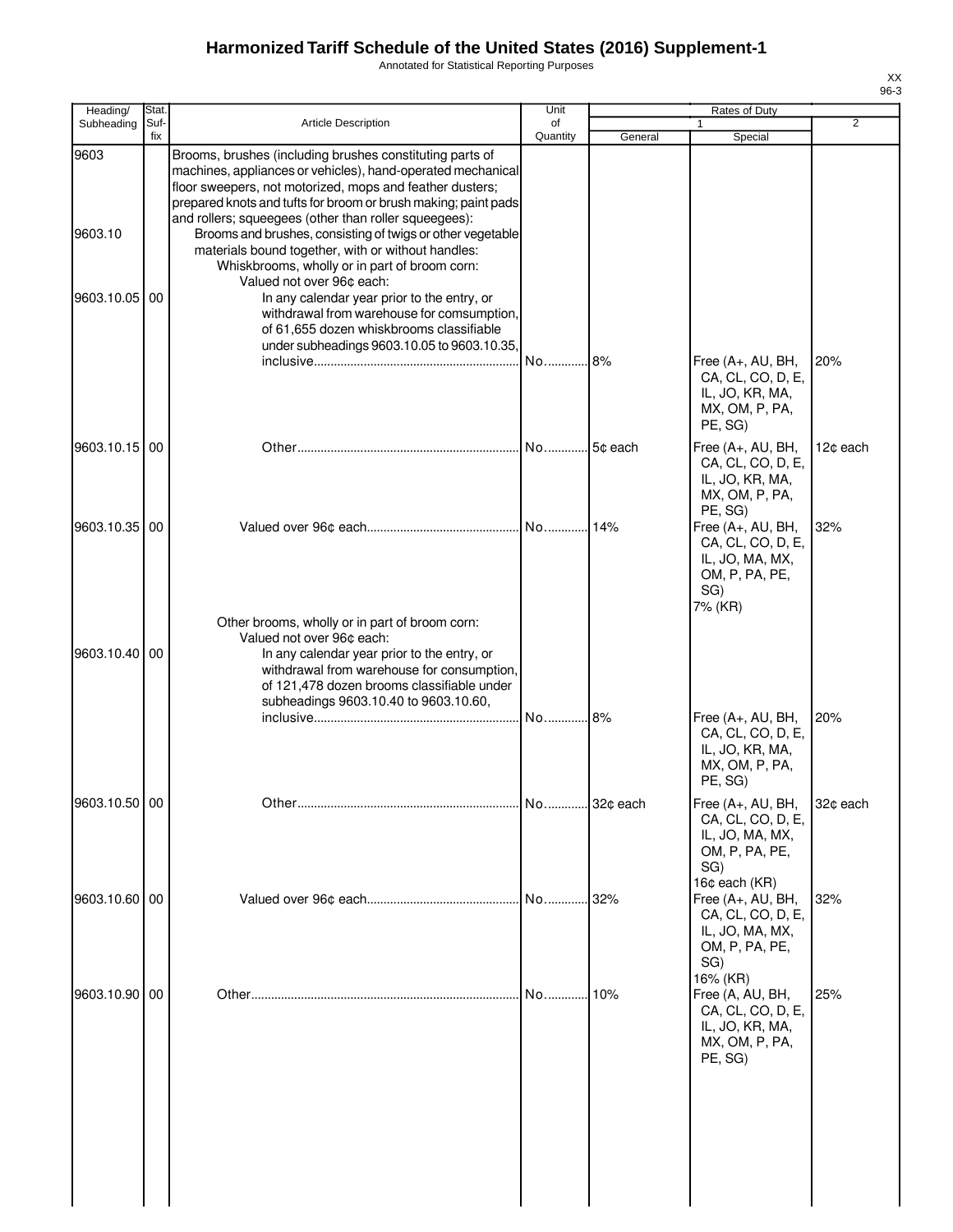Annotated for Statistical Reporting Purposes

| Heading/        | Stat.       |                                                                                                                                                                                                                                                                                                                                                                                                                                                                                                                  | Unit               |         | Rates of Duty                                                                                     |                |
|-----------------|-------------|------------------------------------------------------------------------------------------------------------------------------------------------------------------------------------------------------------------------------------------------------------------------------------------------------------------------------------------------------------------------------------------------------------------------------------------------------------------------------------------------------------------|--------------------|---------|---------------------------------------------------------------------------------------------------|----------------|
| Subheading      | Suf-<br>fix | <b>Article Description</b>                                                                                                                                                                                                                                                                                                                                                                                                                                                                                       | of<br>Quantity     | General | Special                                                                                           | $\overline{2}$ |
| 9603<br>9603.10 |             | Brooms, brushes (including brushes constituting parts of<br>machines, appliances or vehicles), hand-operated mechanical<br>floor sweepers, not motorized, mops and feather dusters;<br>prepared knots and tufts for broom or brush making; paint pads<br>and rollers; squeegees (other than roller squeegees):<br>Brooms and brushes, consisting of twigs or other vegetable<br>materials bound together, with or without handles:<br>Whiskbrooms, wholly or in part of broom corn:<br>Valued not over 96¢ each: |                    |         |                                                                                                   |                |
| 9603.10.05 00   |             | In any calendar year prior to the entry, or<br>withdrawal from warehouse for comsumption,<br>of 61,655 dozen whiskbrooms classifiable<br>under subheadings 9603.10.05 to 9603.10.35,                                                                                                                                                                                                                                                                                                                             | No                 | .8%     | Free (A+, AU, BH,<br>CA, CL, CO, D, E,<br>IL, JO, KR, MA,<br>MX, OM, P, PA,<br>PE, SG)            | 20%            |
| 9603.10.15 00   |             |                                                                                                                                                                                                                                                                                                                                                                                                                                                                                                                  | .l No…………l 5¢ each |         | Free (A+, AU, BH,<br>CA, CL, CO, D, E,<br>IL, JO, KR, MA,<br>MX, OM, P, PA,<br>PE, SG)            | 12¢ each       |
| 9603.10.35 00   |             |                                                                                                                                                                                                                                                                                                                                                                                                                                                                                                                  |                    |         | Free (A+, AU, BH,<br>CA, CL, CO, D, E,<br>IL, JO, MA, MX,<br>OM, P, PA, PE,<br>SG)<br>7% (KR)     | 32%            |
| 9603.10.40 00   |             | Other brooms, wholly or in part of broom corn:<br>Valued not over 96¢ each:<br>In any calendar year prior to the entry, or<br>withdrawal from warehouse for consumption,<br>of 121,478 dozen brooms classifiable under<br>subheadings 9603.10.40 to 9603.10.60,                                                                                                                                                                                                                                                  | No 8%              |         | Free (A+, AU, BH,<br>CA, CL, CO, D, E,                                                            | 20%            |
| 9603.10.50 00   |             |                                                                                                                                                                                                                                                                                                                                                                                                                                                                                                                  |                    |         | IL, JO, KR, MA,<br>MX, OM, P, PA,<br>PE, SG)<br>Free (A+, AU, BH,                                 | 32¢ each       |
|                 |             |                                                                                                                                                                                                                                                                                                                                                                                                                                                                                                                  |                    |         | CA, CL, CO, D, E,<br>IL, JO, MA, MX,<br>OM, P, PA, PE,<br>SG)<br>16¢ each (KR)                    |                |
| 9603.10.60      | 00          |                                                                                                                                                                                                                                                                                                                                                                                                                                                                                                                  | No                 | 32%     | Free (A+, AU, BH,<br>CA, CL, CO, D, E,<br>IL, JO, MA, MX,<br>OM, P, PA, PE,<br>SG)                | 32%            |
| 9603.10.90      | 00          |                                                                                                                                                                                                                                                                                                                                                                                                                                                                                                                  | No                 | 10%     | 16% (KR)<br>Free (A, AU, BH,<br>CA, CL, CO, D, E,<br>IL, JO, KR, MA,<br>MX, OM, P, PA,<br>PE, SG) | 25%            |
|                 |             |                                                                                                                                                                                                                                                                                                                                                                                                                                                                                                                  |                    |         |                                                                                                   |                |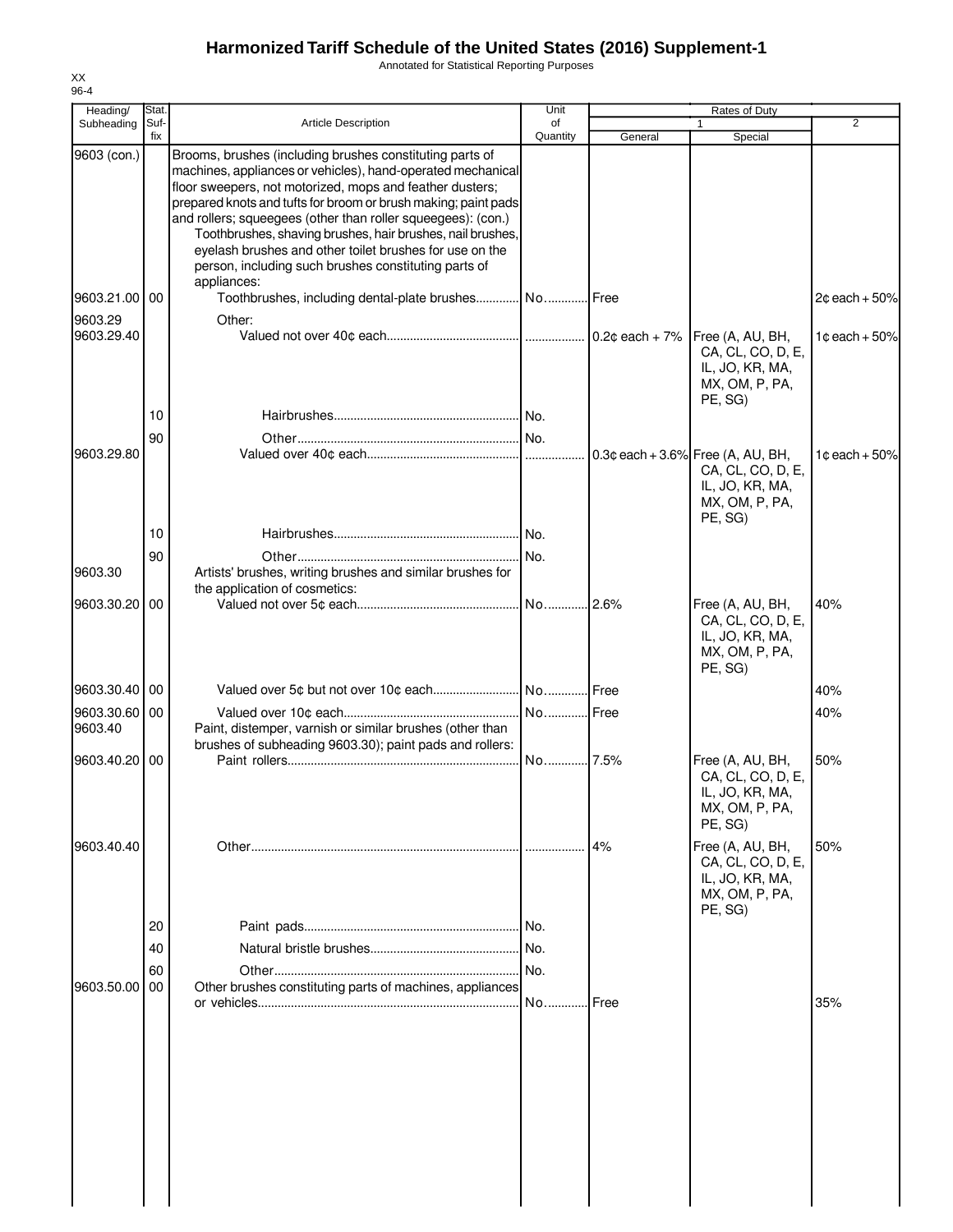Annotated for Statistical Reporting Purposes

| Heading/      | Stat.       |                                                                                                                                                                                                                                                                                                                                                                                                                                                                                                        | Unit           | Rates of Duty |                                                                                                           |                  |
|---------------|-------------|--------------------------------------------------------------------------------------------------------------------------------------------------------------------------------------------------------------------------------------------------------------------------------------------------------------------------------------------------------------------------------------------------------------------------------------------------------------------------------------------------------|----------------|---------------|-----------------------------------------------------------------------------------------------------------|------------------|
| Subheading    | Suf-<br>fix | <b>Article Description</b>                                                                                                                                                                                                                                                                                                                                                                                                                                                                             | of<br>Quantity | General       | $\mathbf{1}$<br>Special                                                                                   | 2                |
| 9603 (con.)   |             | Brooms, brushes (including brushes constituting parts of<br>machines, appliances or vehicles), hand-operated mechanical<br>floor sweepers, not motorized, mops and feather dusters;<br>prepared knots and tufts for broom or brush making; paint pads<br>and rollers; squeegees (other than roller squeegees): (con.)<br>Toothbrushes, shaving brushes, hair brushes, nail brushes,<br>eyelash brushes and other toilet brushes for use on the<br>person, including such brushes constituting parts of |                |               |                                                                                                           |                  |
| 9603.21.00 00 |             | appliances:<br>Toothbrushes, including dental-plate brushes No Free                                                                                                                                                                                                                                                                                                                                                                                                                                    |                |               |                                                                                                           | $2¢$ each + 50%  |
| 9603.29       |             | Other:                                                                                                                                                                                                                                                                                                                                                                                                                                                                                                 |                |               |                                                                                                           |                  |
| 9603.29.40    |             |                                                                                                                                                                                                                                                                                                                                                                                                                                                                                                        |                |               | Free (A, AU, BH,<br>CA, CL, CO, D, E,<br>IL, JO, KR, MA,<br>MX, OM, P, PA,<br>PE, SG)                     | 1¢each + 50%     |
|               | 10          |                                                                                                                                                                                                                                                                                                                                                                                                                                                                                                        |                |               |                                                                                                           |                  |
|               | 90          |                                                                                                                                                                                                                                                                                                                                                                                                                                                                                                        |                |               |                                                                                                           |                  |
| 9603.29.80    |             |                                                                                                                                                                                                                                                                                                                                                                                                                                                                                                        |                |               | $0.3$ ¢ each + 3.6% Free (A, AU, BH,<br>CA, CL, CO, D, E,<br>IL, JO, KR, MA,<br>MX, OM, P, PA,<br>PE, SG) | 1 $c$ each + 50% |
|               | 10          |                                                                                                                                                                                                                                                                                                                                                                                                                                                                                                        |                |               |                                                                                                           |                  |
|               | 90          |                                                                                                                                                                                                                                                                                                                                                                                                                                                                                                        |                |               |                                                                                                           |                  |
| 9603.30       |             | Artists' brushes, writing brushes and similar brushes for<br>the application of cosmetics:                                                                                                                                                                                                                                                                                                                                                                                                             |                |               |                                                                                                           |                  |
| 9603.30.20 00 |             |                                                                                                                                                                                                                                                                                                                                                                                                                                                                                                        |                |               | Free (A, AU, BH,<br>CA, CL, CO, D, E,<br>IL, JO, KR, MA,<br>MX, OM, P, PA,<br>PE, SG)                     | 40%              |
| 9603.30.40 00 |             |                                                                                                                                                                                                                                                                                                                                                                                                                                                                                                        |                |               |                                                                                                           | 40%              |
| 9603.30.60 00 |             |                                                                                                                                                                                                                                                                                                                                                                                                                                                                                                        |                |               |                                                                                                           | 40%              |
| 9603.40       |             | Paint, distemper, varnish or similar brushes (other than<br>brushes of subheading 9603.30); paint pads and rollers:                                                                                                                                                                                                                                                                                                                                                                                    |                |               |                                                                                                           |                  |
| 9603.40.20 00 |             |                                                                                                                                                                                                                                                                                                                                                                                                                                                                                                        |                |               | Free (A, AU, BH,<br>CA, CL, CO, D, E,<br>IL, JO, KR, MA,<br>MX, OM, P, PA,<br>PE, SG)                     | 50%              |
| 9603.40.40    |             |                                                                                                                                                                                                                                                                                                                                                                                                                                                                                                        |                | 4%            | Free (A, AU, BH,<br>CA, CL, CO, D, E,<br>IL, JO, KR, MA,<br>MX, OM, P, PA,<br>PE, SG)                     | 50%              |
|               | 20          |                                                                                                                                                                                                                                                                                                                                                                                                                                                                                                        |                |               |                                                                                                           |                  |
|               | 40          |                                                                                                                                                                                                                                                                                                                                                                                                                                                                                                        |                |               |                                                                                                           |                  |
|               | 60          |                                                                                                                                                                                                                                                                                                                                                                                                                                                                                                        |                |               |                                                                                                           |                  |
| 9603.50.00 00 |             | Other brushes constituting parts of machines, appliances                                                                                                                                                                                                                                                                                                                                                                                                                                               |                |               |                                                                                                           |                  |
|               |             |                                                                                                                                                                                                                                                                                                                                                                                                                                                                                                        | No Free        |               |                                                                                                           | 35%              |
|               |             |                                                                                                                                                                                                                                                                                                                                                                                                                                                                                                        |                |               |                                                                                                           |                  |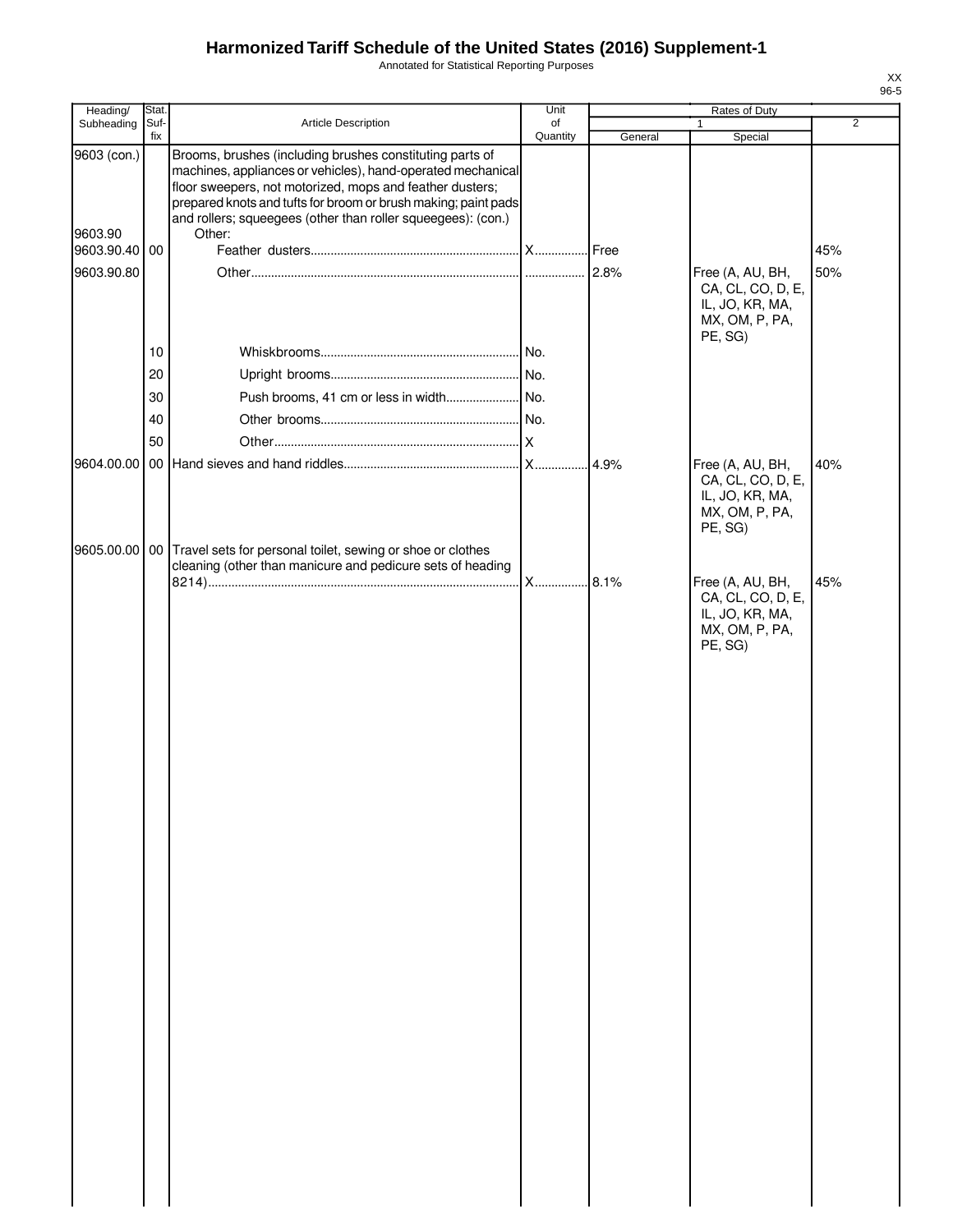Annotated for Statistical Reporting Purposes

| Quantity<br>fix<br>General<br>Special<br>Brooms, brushes (including brushes constituting parts of<br>9603 (con.)<br>machines, appliances or vehicles), hand-operated mechanical<br>floor sweepers, not motorized, mops and feather dusters;<br>prepared knots and tufts for broom or brush making; paint pads<br>and rollers; squeegees (other than roller squeegees): (con.)<br>9603.90<br>Other:<br>9603.90.40 00<br>45%<br>9603.90.80<br>50%<br>Free (A, AU, BH,<br>CA, CL, CO, D, E,<br>IL, JO, KR, MA,<br>MX, OM, P, PA,<br>PE, SG)<br>10<br>20<br>30<br>40<br>50<br>40%<br>Free (A, AU, BH,<br>CA, CL, CO, D, E,<br>IL, JO, KR, MA,<br>MX, OM, P, PA,<br>PE, SG)<br>9605.00.00<br>00 Travel sets for personal toilet, sewing or shoe or clothes<br>cleaning (other than manicure and pedicure sets of heading<br>Free (A, AU, BH,<br>45%<br>CA, CL, CO, D, E,<br>IL, JO, KR, MA,<br>MX, OM, P, PA,<br>PE, SG) | Heading/   | Stat. |                     | Unit | Rates of Duty |                |
|---------------------------------------------------------------------------------------------------------------------------------------------------------------------------------------------------------------------------------------------------------------------------------------------------------------------------------------------------------------------------------------------------------------------------------------------------------------------------------------------------------------------------------------------------------------------------------------------------------------------------------------------------------------------------------------------------------------------------------------------------------------------------------------------------------------------------------------------------------------------------------------------------------------------|------------|-------|---------------------|------|---------------|----------------|
|                                                                                                                                                                                                                                                                                                                                                                                                                                                                                                                                                                                                                                                                                                                                                                                                                                                                                                                     | Subheading | Suf-  | Article Description | of   | $\mathbf{1}$  | $\overline{2}$ |
|                                                                                                                                                                                                                                                                                                                                                                                                                                                                                                                                                                                                                                                                                                                                                                                                                                                                                                                     |            |       |                     |      |               |                |
|                                                                                                                                                                                                                                                                                                                                                                                                                                                                                                                                                                                                                                                                                                                                                                                                                                                                                                                     |            |       |                     |      |               |                |
|                                                                                                                                                                                                                                                                                                                                                                                                                                                                                                                                                                                                                                                                                                                                                                                                                                                                                                                     |            |       |                     |      |               |                |
|                                                                                                                                                                                                                                                                                                                                                                                                                                                                                                                                                                                                                                                                                                                                                                                                                                                                                                                     |            |       |                     |      |               |                |
|                                                                                                                                                                                                                                                                                                                                                                                                                                                                                                                                                                                                                                                                                                                                                                                                                                                                                                                     |            |       |                     |      |               |                |
|                                                                                                                                                                                                                                                                                                                                                                                                                                                                                                                                                                                                                                                                                                                                                                                                                                                                                                                     |            |       |                     |      |               |                |
|                                                                                                                                                                                                                                                                                                                                                                                                                                                                                                                                                                                                                                                                                                                                                                                                                                                                                                                     |            |       |                     |      |               |                |
|                                                                                                                                                                                                                                                                                                                                                                                                                                                                                                                                                                                                                                                                                                                                                                                                                                                                                                                     |            |       |                     |      |               |                |
|                                                                                                                                                                                                                                                                                                                                                                                                                                                                                                                                                                                                                                                                                                                                                                                                                                                                                                                     |            |       |                     |      |               |                |
|                                                                                                                                                                                                                                                                                                                                                                                                                                                                                                                                                                                                                                                                                                                                                                                                                                                                                                                     |            |       |                     |      |               |                |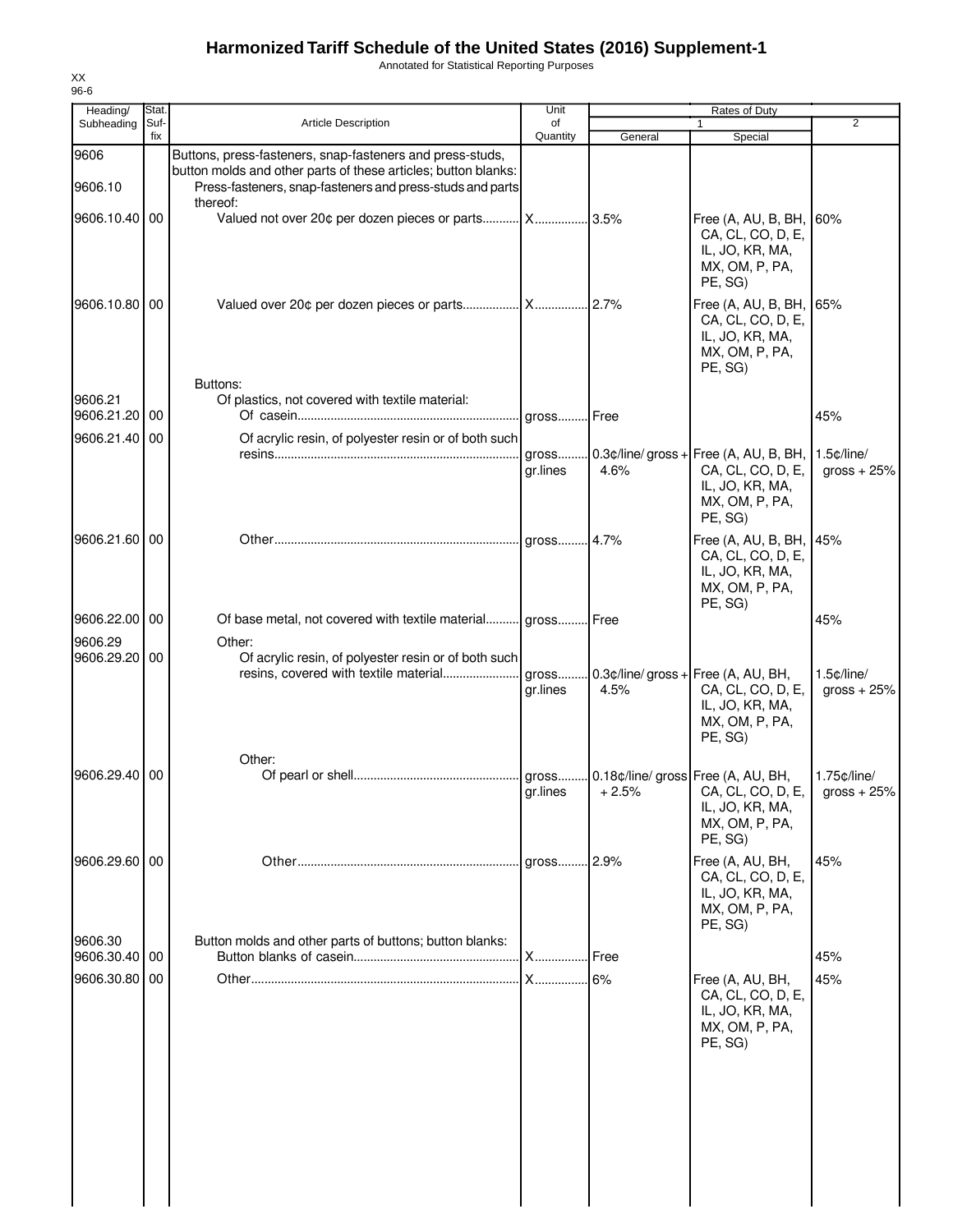Annotated for Statistical Reporting Purposes

| Heading/              | Stat. |                                                                                                                                                                                                      | Unit     |         | Rates of Duty                                                                                                   |                                 |
|-----------------------|-------|------------------------------------------------------------------------------------------------------------------------------------------------------------------------------------------------------|----------|---------|-----------------------------------------------------------------------------------------------------------------|---------------------------------|
| Subheading            | Suf-  | <b>Article Description</b>                                                                                                                                                                           | of       |         |                                                                                                                 | $\overline{2}$                  |
|                       | fix   |                                                                                                                                                                                                      | Quantity | General | Special                                                                                                         |                                 |
| 9606<br>9606.10       |       | Buttons, press-fasteners, snap-fasteners and press-studs,<br>button molds and other parts of these articles; button blanks:<br>Press-fasteners, snap-fasteners and press-studs and parts<br>thereof: |          |         |                                                                                                                 |                                 |
| 9606.10.40 00         |       | Valued not over 20¢ per dozen pieces or parts X                                                                                                                                                      |          | 3.5%    | Free (A, AU, B, BH,<br>CA, CL, CO, D, E,<br>IL, JO, KR, MA,<br>MX, OM, P, PA,<br>PE, SG)                        | 60%                             |
| 9606.10.80 00         |       | Buttons:                                                                                                                                                                                             |          | .2.7%   | Free (A, AU, B, BH,<br>CA, CL, CO, D, E,<br>IL, JO, KR, MA,<br>MX, OM, P, PA,<br>PE, SG)                        | 65%                             |
| 9606.21<br>9606.21.20 | 00    | Of plastics, not covered with textile material:                                                                                                                                                      | gross    | Free    |                                                                                                                 | 45%                             |
| 9606.21.40            | 00    | Of acrylic resin, of polyester resin or of both such                                                                                                                                                 |          |         |                                                                                                                 |                                 |
|                       |       |                                                                                                                                                                                                      | gross    |         | $0.3$ ¢/line/ gross + Free (A, AU, B, BH,                                                                       | $1.5$ c/line/                   |
|                       |       |                                                                                                                                                                                                      | gr.lines | 4.6%    | CA, CL, CO, D, E,<br>IL, JO, KR, MA,<br>MX, OM, P, PA,<br>PE, SG)                                               | gross $+25%$                    |
| 9606.21.60 00         |       |                                                                                                                                                                                                      | aross    | 4.7%    | Free (A, AU, B, BH, 45%<br>CA, CL, CO, D, E,<br>IL, JO, KR, MA,<br>MX, OM, P, PA,<br>PE, SG)                    |                                 |
| 9606.22.00 00         |       | Of base metal, not covered with textile material gross                                                                                                                                               |          | l Free  |                                                                                                                 | 45%                             |
| 9606.29               |       | Other:                                                                                                                                                                                               |          |         |                                                                                                                 |                                 |
| 9606.29.20            | 00    | Of acrylic resin, of polyester resin or of both such                                                                                                                                                 |          |         |                                                                                                                 |                                 |
|                       |       | resins, covered with textile material                                                                                                                                                                | gross    |         | $0.3$ ¢/line/ gross + Free (A, AU, BH,                                                                          | $1.5$ ¢/line/                   |
|                       |       |                                                                                                                                                                                                      | gr.lines | 4.5%    | CA, CL, CO, D, E,<br>IL, JO, KR, MA,<br>MX, OM, P, PA,<br>PE, SG)                                               | gross $+25%$                    |
|                       |       | Other:                                                                                                                                                                                               |          |         |                                                                                                                 |                                 |
| 9606.29.40            | 00    |                                                                                                                                                                                                      | gr.lines | $+2.5%$ | . gross 0.18¢/line/ gross Free (A, AU, BH,<br>CA, CL, CO, D, E,<br>IL, JO, KR, MA,<br>MX, OM, P, PA,<br>PE, SG) | 1.75¢/line/<br>$\arccos + 25\%$ |
| 9606.29.60 00         |       |                                                                                                                                                                                                      | gross    | .2.9%   | Free (A, AU, BH,<br>CA, CL, CO, D, E,<br>IL, JO, KR, MA,<br>MX, OM, P, PA,<br>PE, SG)                           | 45%                             |
| 9606.30<br>9606.30.40 | 00    | Button molds and other parts of buttons; button blanks:                                                                                                                                              | X        | Free    |                                                                                                                 | 45%                             |
|                       |       |                                                                                                                                                                                                      |          |         |                                                                                                                 |                                 |
| 9606.30.80            | 00    |                                                                                                                                                                                                      | <b>X</b> | 6%      | Free (A, AU, BH,<br>CA, CL, CO, D, E,<br>IL, JO, KR, MA,<br>MX, OM, P, PA,<br>PE, SG)                           | 45%                             |
|                       |       |                                                                                                                                                                                                      |          |         |                                                                                                                 |                                 |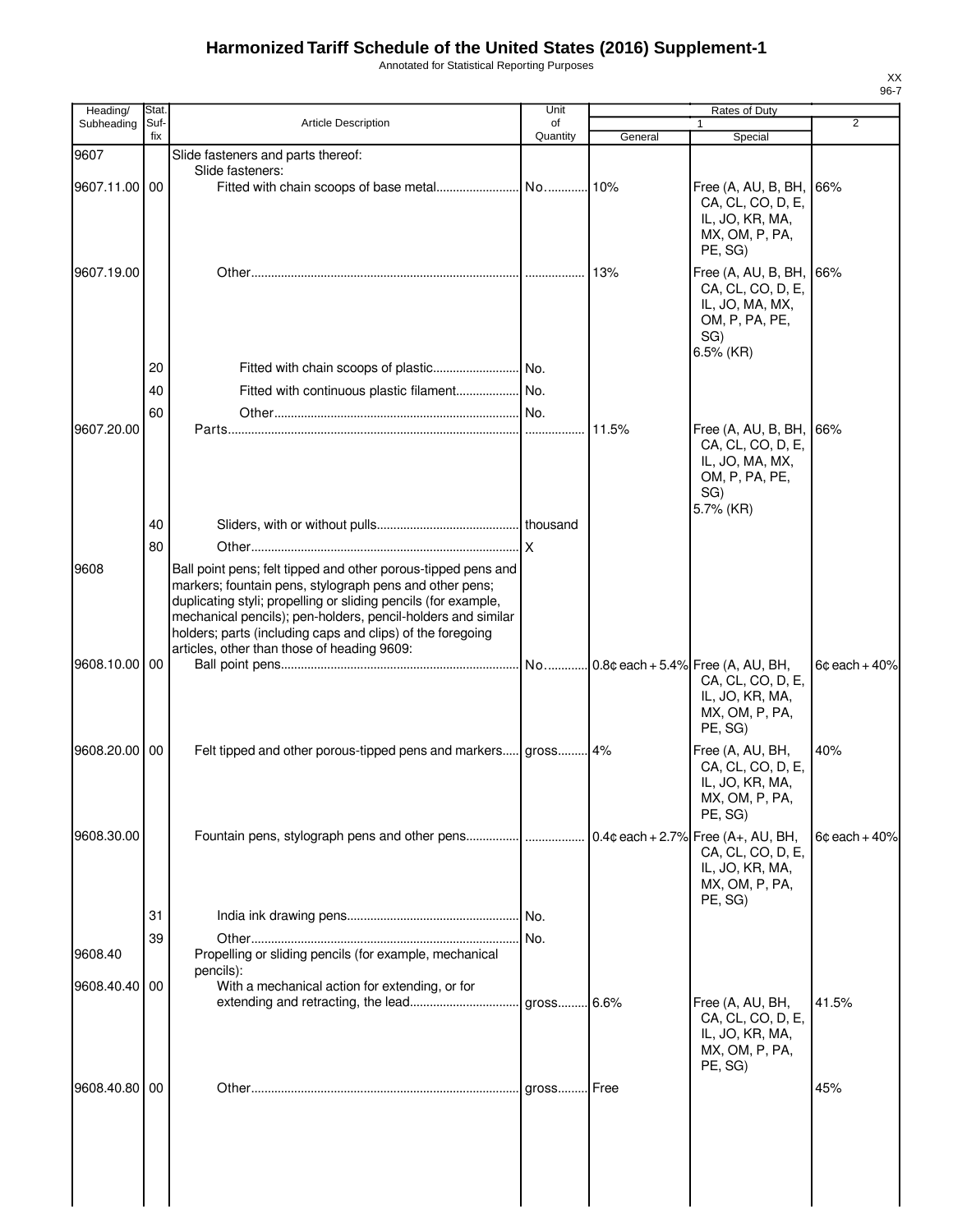Annotated for Statistical Reporting Purposes

| Heading/      | Stat.       |                                                                                                                                                                                                                                                                                                                                                                         | Unit           |         | Rates of Duty                                                                                              |                 |
|---------------|-------------|-------------------------------------------------------------------------------------------------------------------------------------------------------------------------------------------------------------------------------------------------------------------------------------------------------------------------------------------------------------------------|----------------|---------|------------------------------------------------------------------------------------------------------------|-----------------|
| Subheading    | Suf-<br>fix | <b>Article Description</b>                                                                                                                                                                                                                                                                                                                                              | of<br>Quantity | General | 1<br>Special                                                                                               | $\overline{2}$  |
| 9607          |             | Slide fasteners and parts thereof:                                                                                                                                                                                                                                                                                                                                      |                |         |                                                                                                            |                 |
|               |             | Slide fasteners:                                                                                                                                                                                                                                                                                                                                                        |                |         |                                                                                                            |                 |
| 9607.11.00 00 |             |                                                                                                                                                                                                                                                                                                                                                                         |                |         | Free (A, AU, B, BH,<br>CA, CL, CO, D, E,<br>IL, JO, KR, MA,<br>MX, OM, P, PA,<br>PE, SG)                   | 66%             |
| 9607.19.00    |             |                                                                                                                                                                                                                                                                                                                                                                         |                | 13%     | Free (A, AU, B, BH,<br>CA, CL, CO, D, E,<br>IL, JO, MA, MX,<br>OM, P, PA, PE,<br>SG)                       | 66%             |
|               | 20          |                                                                                                                                                                                                                                                                                                                                                                         |                |         | 6.5% (KR)                                                                                                  |                 |
|               | 40          | Fitted with continuous plastic filament No.                                                                                                                                                                                                                                                                                                                             |                |         |                                                                                                            |                 |
|               | 60          |                                                                                                                                                                                                                                                                                                                                                                         |                |         |                                                                                                            |                 |
| 9607.20.00    |             |                                                                                                                                                                                                                                                                                                                                                                         |                | 11.5%   | Free (A, AU, B, BH,<br>CA, CL, CO, D, E,<br>IL, JO, MA, MX,<br>OM, P, PA, PE,<br>SG)<br>5.7% (KR)          | 66%             |
|               | 40          |                                                                                                                                                                                                                                                                                                                                                                         |                |         |                                                                                                            |                 |
| 9608          | 80          | Ball point pens; felt tipped and other porous-tipped pens and<br>markers; fountain pens, stylograph pens and other pens;<br>duplicating styli; propelling or sliding pencils (for example,<br>mechanical pencils); pen-holders, pencil-holders and similar<br>holders; parts (including caps and clips) of the foregoing<br>articles, other than those of heading 9609: |                |         |                                                                                                            |                 |
| 9608.10.00 00 |             |                                                                                                                                                                                                                                                                                                                                                                         |                |         | $0.8$ ¢ each + 5.4% Free (A, AU, BH,<br>CA, CL, CO, D, E,<br>IL, JO, KR, MA,<br>MX, OM, P, PA,<br>PE, SG)  | $6¢$ each + 40% |
| 9608.20.00 00 |             | Felt tipped and other porous-tipped pens and markers gross 4%                                                                                                                                                                                                                                                                                                           |                |         | Free (A, AU, BH,<br>CA, CL, CO, D, E,<br>IL, JO, KR, MA,<br>MX, OM, P, PA,<br>PE, SG)                      | 40%             |
| 9608.30.00    |             | Fountain pens, stylograph pens and other pens                                                                                                                                                                                                                                                                                                                           |                |         | $0.4$ ¢ each + 2.7% Free (A+, AU, BH,<br>CA, CL, CO, D, E,<br>IL, JO, KR, MA,<br>MX, OM, P, PA,<br>PE, SG) | $6¢$ each + 40% |
|               | 31          |                                                                                                                                                                                                                                                                                                                                                                         |                |         |                                                                                                            |                 |
| 9608.40       | 39          | Propelling or sliding pencils (for example, mechanical<br>pencils):                                                                                                                                                                                                                                                                                                     |                |         |                                                                                                            |                 |
| 9608.40.40 00 |             | With a mechanical action for extending, or for                                                                                                                                                                                                                                                                                                                          |                |         | Free (A, AU, BH,                                                                                           | 41.5%           |
|               |             |                                                                                                                                                                                                                                                                                                                                                                         |                |         | CA, CL, CO, D, E,<br>IL, JO, KR, MA,<br>MX, OM, P, PA,<br>PE, SG)                                          |                 |
| 9608.40.80 00 |             |                                                                                                                                                                                                                                                                                                                                                                         |                |         |                                                                                                            | 45%             |
|               |             |                                                                                                                                                                                                                                                                                                                                                                         |                |         |                                                                                                            |                 |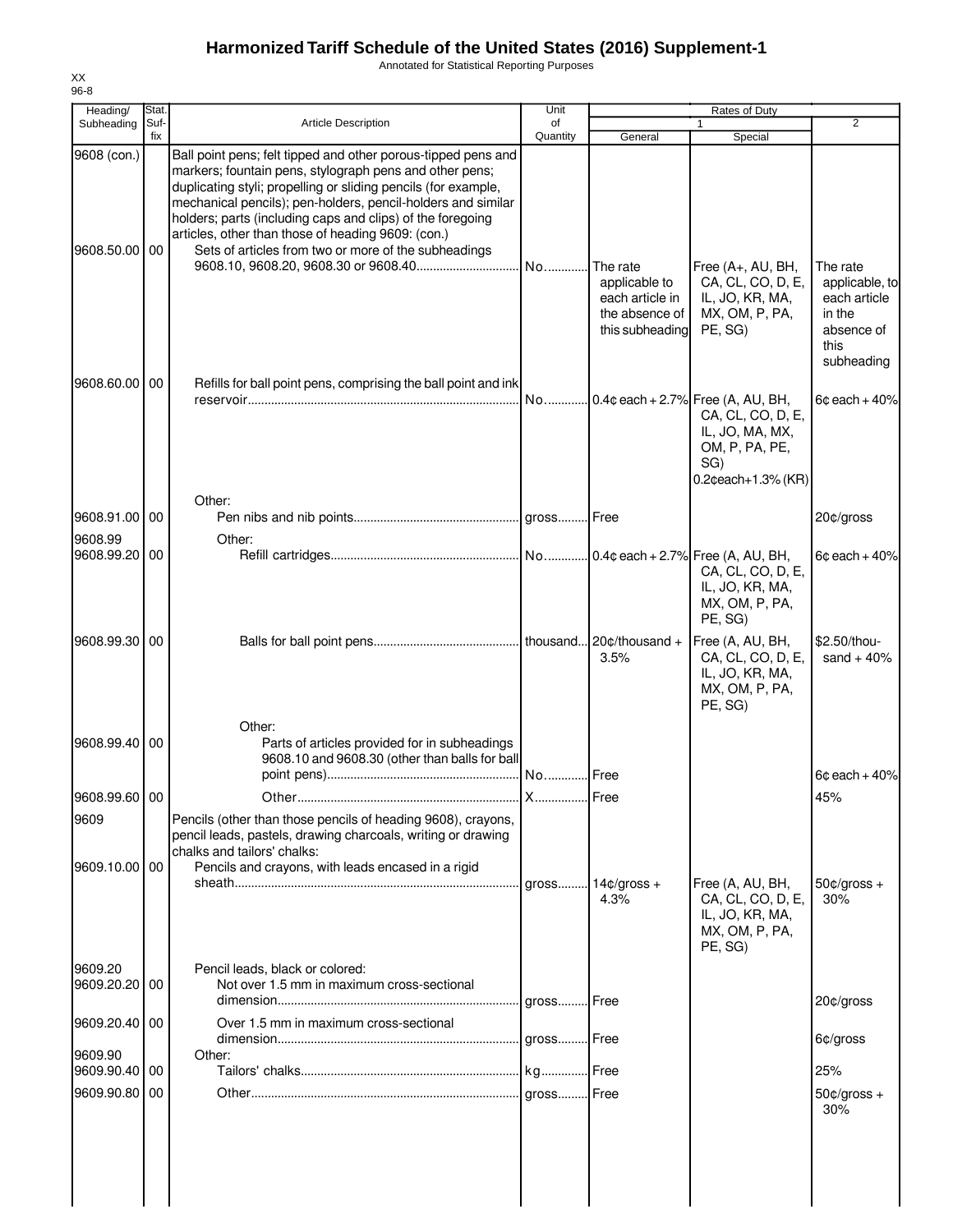Annotated for Statistical Reporting Purposes

| Heading/                     | Stat.       |                                                                                                                                                                                                                                                                                                                                                                                                                                        | Unit           |                                                                                   | Rates of Duty                                                                                                                  |                                                                            |
|------------------------------|-------------|----------------------------------------------------------------------------------------------------------------------------------------------------------------------------------------------------------------------------------------------------------------------------------------------------------------------------------------------------------------------------------------------------------------------------------------|----------------|-----------------------------------------------------------------------------------|--------------------------------------------------------------------------------------------------------------------------------|----------------------------------------------------------------------------|
| Subheading                   | Suf-<br>fix | <b>Article Description</b>                                                                                                                                                                                                                                                                                                                                                                                                             | of<br>Quantity | General                                                                           | 1<br>Special                                                                                                                   | $\overline{2}$                                                             |
| 9608 (con.)<br>9608.50.00 00 |             | Ball point pens; felt tipped and other porous-tipped pens and<br>markers; fountain pens, stylograph pens and other pens;<br>duplicating styli; propelling or sliding pencils (for example,<br>mechanical pencils); pen-holders, pencil-holders and similar<br>holders; parts (including caps and clips) of the foregoing<br>articles, other than those of heading 9609: (con.)<br>Sets of articles from two or more of the subheadings |                | The rate<br>applicable to<br>each article in<br>the absence of<br>this subheading | Free (A+, AU, BH,<br>CA, CL, CO, D, E,<br>IL, JO, KR, MA,<br>MX, OM, P, PA,<br>PE, SG)                                         | The rate<br>applicable, to<br>each article<br>in the<br>absence of<br>this |
| 9608.60.00                   | 00          | Refills for ball point pens, comprising the ball point and ink                                                                                                                                                                                                                                                                                                                                                                         | No             |                                                                                   | $0.4$ ¢ each + 2.7% Free (A, AU, BH,<br>CA, CL, CO, D, E,<br>IL, JO, MA, MX,<br>OM, P, PA, PE,<br>SG)<br>$0.2$ ceach+1.3% (KR) | subheading<br>$6¢$ each + 40%                                              |
|                              |             | Other:                                                                                                                                                                                                                                                                                                                                                                                                                                 |                |                                                                                   |                                                                                                                                |                                                                            |
| 9608.91.00<br>9608.99        | 00          | Other:                                                                                                                                                                                                                                                                                                                                                                                                                                 |                |                                                                                   |                                                                                                                                | 20¢/gross                                                                  |
| 9608.99.20                   | 00          |                                                                                                                                                                                                                                                                                                                                                                                                                                        |                |                                                                                   | CA, CL, CO, D, E,<br>IL, JO, KR, MA,<br>MX, OM, P, PA,<br>PE, SG)                                                              | $6¢$ each + 40%                                                            |
| 9608.99.30 00                |             |                                                                                                                                                                                                                                                                                                                                                                                                                                        |                | 3.5%                                                                              | Free (A, AU, BH,<br>CA, CL, CO, D, E,<br>IL, JO, KR, MA,<br>MX, OM, P, PA,<br>PE, SG)                                          | \$2.50/thou-<br>sand $+40%$                                                |
| 9608.99.40 00                |             | Other:<br>Parts of articles provided for in subheadings<br>9608.10 and 9608.30 (other than balls for ball                                                                                                                                                                                                                                                                                                                              | No             | Free                                                                              |                                                                                                                                | $6¢$ each + 40%                                                            |
| 9608.99.60 00                |             |                                                                                                                                                                                                                                                                                                                                                                                                                                        |                |                                                                                   |                                                                                                                                | 45%                                                                        |
| 9609                         |             | Pencils (other than those pencils of heading 9608), crayons,<br>pencil leads, pastels, drawing charcoals, writing or drawing<br>chalks and tailors' chalks:                                                                                                                                                                                                                                                                            |                |                                                                                   |                                                                                                                                |                                                                            |
| 9609.10.00 00                |             | Pencils and crayons, with leads encased in a rigid                                                                                                                                                                                                                                                                                                                                                                                     | aross          | $14¢$ /gross +<br>4.3%                                                            | Free (A, AU, BH,<br>CA, CL, CO, D, E,<br>IL, JO, KR, MA,<br>MX, OM, P, PA,<br>PE, SG)                                          | $50¢/gross +$<br>30%                                                       |
| 9609.20<br>9609.20.20 00     |             | Pencil leads, black or colored:<br>Not over 1.5 mm in maximum cross-sectional                                                                                                                                                                                                                                                                                                                                                          |                |                                                                                   |                                                                                                                                | 20¢/gross                                                                  |
| 9609.20.40 00                |             | Over 1.5 mm in maximum cross-sectional                                                                                                                                                                                                                                                                                                                                                                                                 |                |                                                                                   |                                                                                                                                |                                                                            |
| 9609.90                      |             | Other:                                                                                                                                                                                                                                                                                                                                                                                                                                 |                |                                                                                   |                                                                                                                                | 6¢/gross                                                                   |
| 9609.90.40                   | 00          |                                                                                                                                                                                                                                                                                                                                                                                                                                        |                |                                                                                   |                                                                                                                                | 25%                                                                        |
| 9609.90.80                   | 00          |                                                                                                                                                                                                                                                                                                                                                                                                                                        |                |                                                                                   |                                                                                                                                | $50¢/gross +$<br>30%                                                       |
|                              |             |                                                                                                                                                                                                                                                                                                                                                                                                                                        |                |                                                                                   |                                                                                                                                |                                                                            |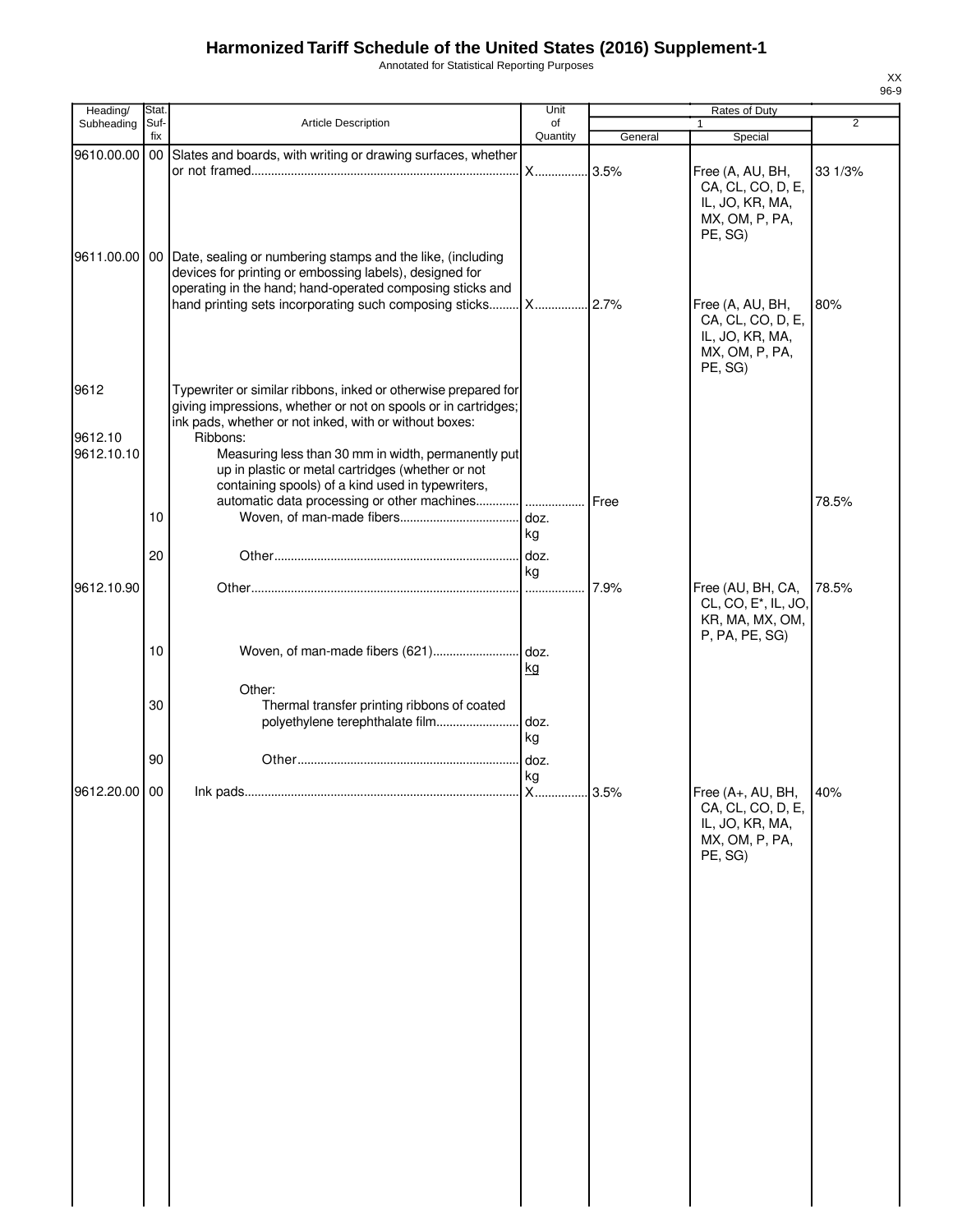Annotated for Statistical Reporting Purposes

| Heading/              | Stat.           |                                                                                                                                                                                                                                                        | Unit           | Rates of Duty |                                                                                                                               |         |
|-----------------------|-----------------|--------------------------------------------------------------------------------------------------------------------------------------------------------------------------------------------------------------------------------------------------------|----------------|---------------|-------------------------------------------------------------------------------------------------------------------------------|---------|
| Subheading            | Suf-<br>fix     | Article Description                                                                                                                                                                                                                                    | of<br>Quantity | General       | $\mathbf{1}$<br>Special                                                                                                       | 2       |
| 9610.00.00            |                 | 00 Slates and boards, with writing or drawing surfaces, whether                                                                                                                                                                                        | <b>X</b>       | .3.5%         | Free (A, AU, BH,                                                                                                              | 33 1/3% |
| 9611.00.00            |                 | 00 Date, sealing or numbering stamps and the like, (including<br>devices for printing or embossing labels), designed for<br>operating in the hand; hand-operated composing sticks and<br>hand printing sets incorporating such composing sticks X 2.7% |                |               | CA, CL, CO, D, E,<br>IL, JO, KR, MA,<br>MX, OM, P, PA,<br>PE, SG)<br>Free (A, AU, BH,<br>CA, CL, CO, D, E,<br>IL, JO, KR, MA, | 80%     |
|                       |                 |                                                                                                                                                                                                                                                        |                |               | MX, OM, P, PA,<br>PE, SG)                                                                                                     |         |
| 9612                  |                 | Typewriter or similar ribbons, inked or otherwise prepared for<br>giving impressions, whether or not on spools or in cartridges;<br>ink pads, whether or not inked, with or without boxes:                                                             |                |               |                                                                                                                               |         |
| 9612.10<br>9612.10.10 |                 | Ribbons:<br>Measuring less than 30 mm in width, permanently put<br>up in plastic or metal cartridges (whether or not<br>containing spools) of a kind used in typewriters,                                                                              |                |               |                                                                                                                               |         |
|                       | 10              | automatic data processing or other machines                                                                                                                                                                                                            | kg             | Free          |                                                                                                                               | 78.5%   |
| 9612.10.90            | 20              |                                                                                                                                                                                                                                                        | ka             | 7.9%          | Free (AU, BH, CA,<br>CL, CO, E <sup>*</sup> , IL, JO,<br>KR, MA, MX, OM,                                                      | 78.5%   |
|                       | 10 <sup>°</sup> |                                                                                                                                                                                                                                                        | kg             |               | P, PA, PE, SG)                                                                                                                |         |
|                       | 30              | Other:<br>Thermal transfer printing ribbons of coated<br>polyethylene terephthalate film                                                                                                                                                               | doz.<br>kg     |               |                                                                                                                               |         |
|                       | 90              |                                                                                                                                                                                                                                                        | doz.<br>kg     |               |                                                                                                                               |         |
| 9612.20.00 00         |                 |                                                                                                                                                                                                                                                        | <b>X</b>       | 3.5%          | Free (A+, AU, BH,<br>CA, CL, CO, D, E,<br>IL, JO, KR, MA,<br>MX, OM, P, PA,<br>PE, SG)                                        | 40%     |
|                       |                 |                                                                                                                                                                                                                                                        |                |               |                                                                                                                               |         |
|                       |                 |                                                                                                                                                                                                                                                        |                |               |                                                                                                                               |         |
|                       |                 |                                                                                                                                                                                                                                                        |                |               |                                                                                                                               |         |
|                       |                 |                                                                                                                                                                                                                                                        |                |               |                                                                                                                               |         |
|                       |                 |                                                                                                                                                                                                                                                        |                |               |                                                                                                                               |         |
|                       |                 |                                                                                                                                                                                                                                                        |                |               |                                                                                                                               |         |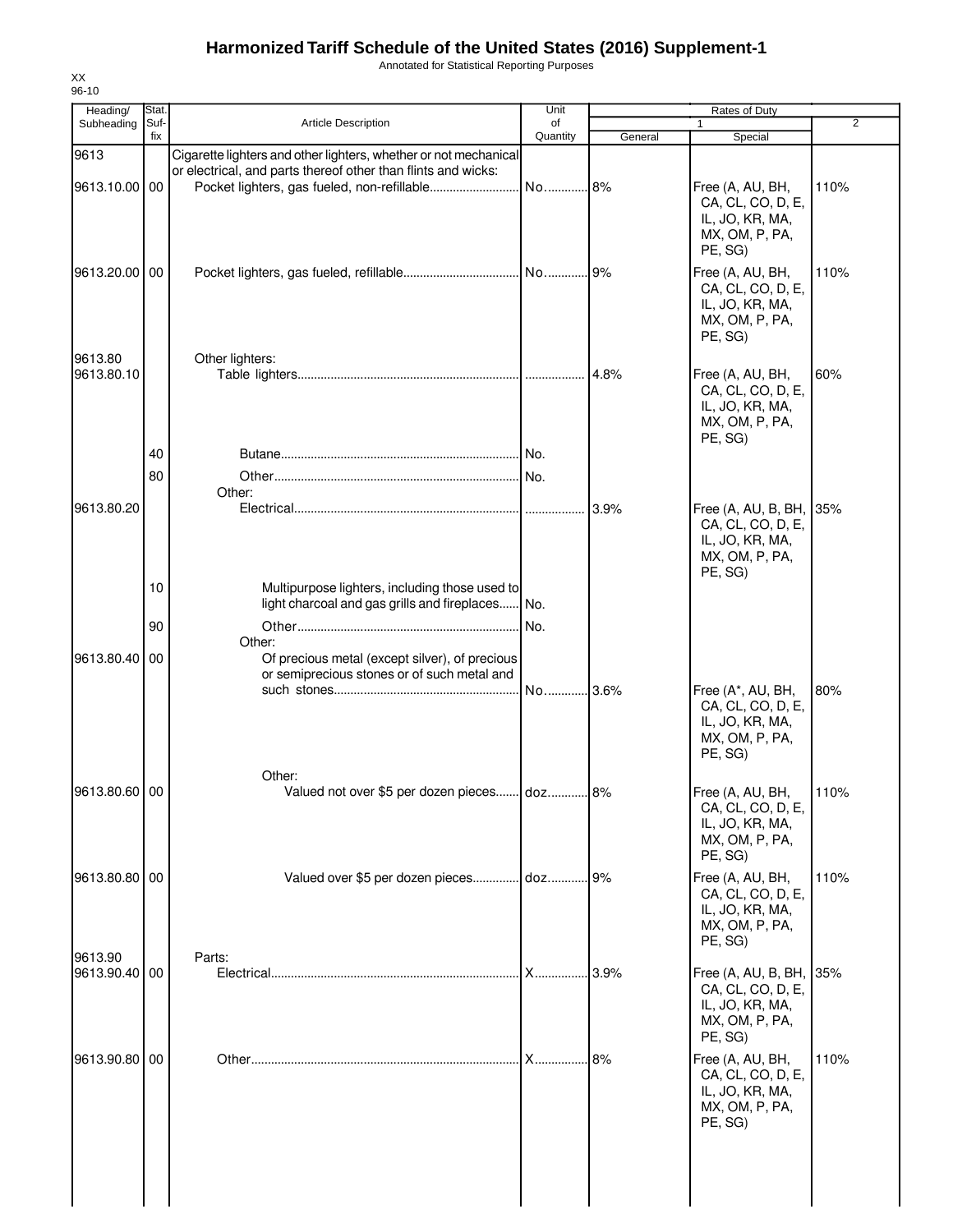Annotated for Statistical Reporting Purposes

| 96-10<br>Heading/        | Stat.    |                                                                                                         | Unit       |         | Rates of Duty                                                                                    |                |
|--------------------------|----------|---------------------------------------------------------------------------------------------------------|------------|---------|--------------------------------------------------------------------------------------------------|----------------|
| Subheading               | Suf-     | <b>Article Description</b>                                                                              | of         |         |                                                                                                  | $\overline{2}$ |
| 9613                     | fix      | Cigarette lighters and other lighters, whether or not mechanical                                        | Quantity   | General | Special                                                                                          |                |
| 9613.10.00 00            |          | or electrical, and parts thereof other than flints and wicks:                                           |            |         | Free (A, AU, BH,<br>CA, CL, CO, D, E,<br>IL, JO, KR, MA,<br>MX, OM, P, PA,                       | 110%           |
| 9613.20.00 00            |          |                                                                                                         |            |         | PE, SG)<br>Free (A, AU, BH,<br>CA, CL, CO, D, E,<br>IL, JO, KR, MA,<br>MX, OM, P, PA,<br>PE, SG) | 110%           |
| 9613.80<br>9613.80.10    |          | Other lighters:                                                                                         |            | 4.8%    | Free (A, AU, BH,<br>CA, CL, CO, D, E,<br>IL, JO, KR, MA,<br>MX, OM, P, PA,<br>PE, SG)            | 60%            |
|                          | 40<br>80 | Other:                                                                                                  |            |         |                                                                                                  |                |
| 9613.80.20               |          |                                                                                                         |            | 3.9%    | Free (A, AU, B, BH, 35%<br>CA, CL, CO, D, E,<br>IL, JO, KR, MA,<br>MX, OM, P, PA,<br>PE, SG)     |                |
|                          | 10<br>90 | Multipurpose lighters, including those used to<br>light charcoal and gas grills and fireplaces          | No.<br>No. |         |                                                                                                  |                |
| 9613.80.40               | 00       | Other:<br>Of precious metal (except silver), of precious<br>or semiprecious stones or of such metal and | No 3.6%    |         | Free (A*, AU, BH,                                                                                | 80%            |
|                          |          |                                                                                                         |            |         | CA, CL, CO, D, E,<br>IL, JO, KR, MA,<br>MX, OM, P, PA,<br>PE, SG)                                |                |
| 9613.80.60 00            |          | Other:<br>Valued not over \$5 per dozen pieces doz 8%                                                   |            |         | Free (A, AU, BH,<br>CA, CL, CO, D, E,<br>IL, JO, KR, MA,<br>MX, OM, P, PA,<br>PE, SG)            | 110%           |
| 9613.80.80               | 00       | Valued over \$5 per dozen pieces                                                                        | . doz      | 9%      | Free (A, AU, BH,<br>CA, CL, CO, D, E,<br>IL, JO, KR, MA,<br>MX, OM, P, PA,<br>PE, SG)            | 110%           |
| 9613.90<br>9613.90.40 00 |          | Parts:                                                                                                  |            | 3.9%    | Free (A, AU, B, BH, 35%<br>CA, CL, CO, D, E,<br>IL, JO, KR, MA,<br>MX, OM, P, PA,<br>PE, SG)     |                |
| 9613.90.80 00            |          |                                                                                                         | $X$        | 8%      | Free (A, AU, BH,<br>CA, CL, CO, D, E,<br>IL, JO, KR, MA,<br>MX, OM, P, PA,<br>PE, SG)            | 110%           |
|                          |          |                                                                                                         |            |         |                                                                                                  |                |

XX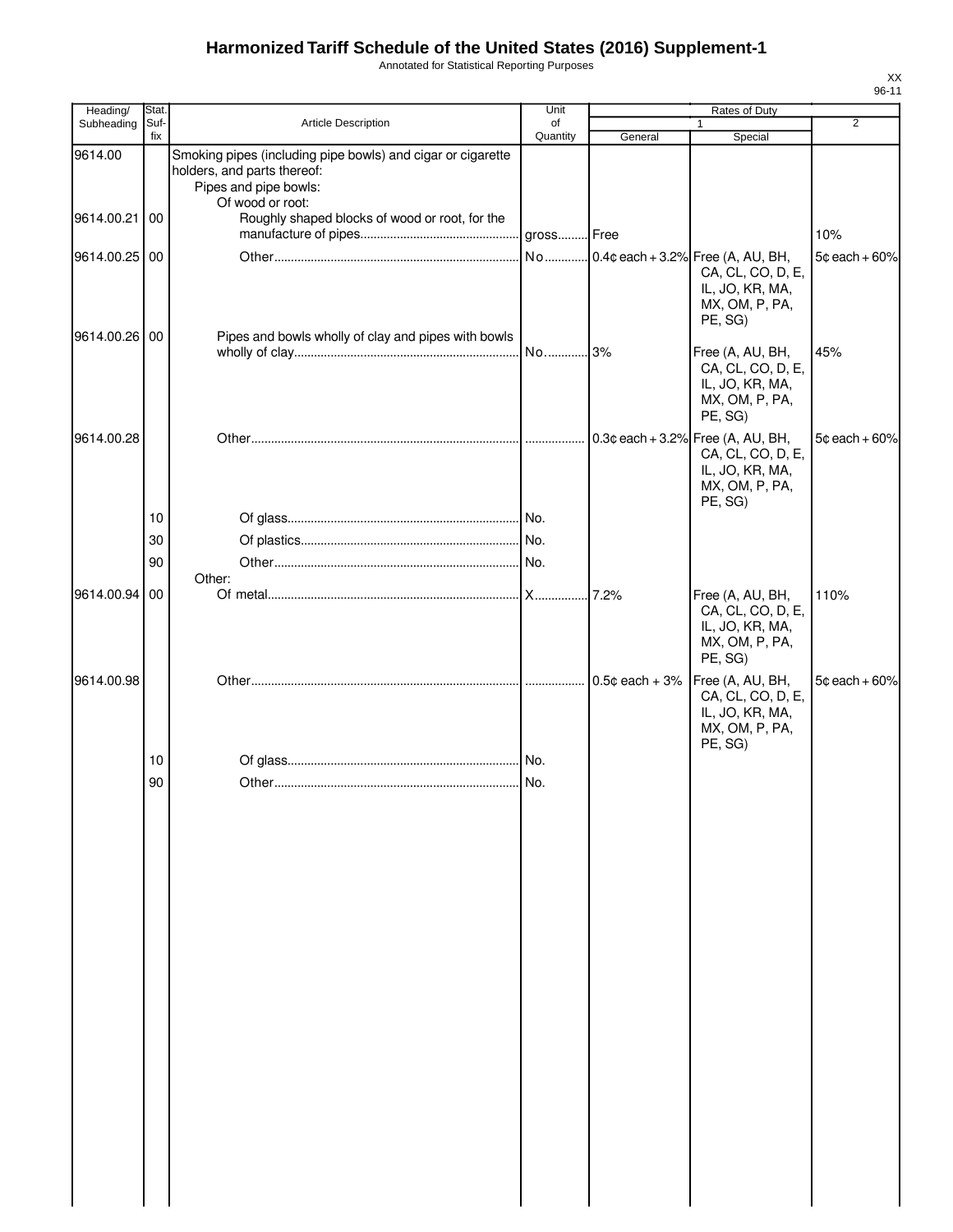Annotated for Statistical Reporting Purposes

| Heading/      | Stat.       |                                                                                                                     | Unit           |                  | Rates of Duty                                                                         | $\overline{2}$   |
|---------------|-------------|---------------------------------------------------------------------------------------------------------------------|----------------|------------------|---------------------------------------------------------------------------------------|------------------|
| Subheading    | Suf-<br>fix | <b>Article Description</b>                                                                                          | of<br>Quantity | General          | Special                                                                               |                  |
| 9614.00       |             | Smoking pipes (including pipe bowls) and cigar or cigarette<br>holders, and parts thereof:<br>Pipes and pipe bowls: |                |                  |                                                                                       |                  |
| 9614.00.21 00 |             | Of wood or root:<br>Roughly shaped blocks of wood or root, for the                                                  |                |                  |                                                                                       | 10%              |
| 9614.00.25 00 |             |                                                                                                                     |                |                  | CA, CL, CO, D, E,<br>IL, JO, KR, MA,<br>MX, OM, P, PA,<br>PE, SG)                     | $5¢$ each + 60%  |
| 9614.00.26 00 |             | Pipes and bowls wholly of clay and pipes with bowls                                                                 |                |                  | Free (A, AU, BH,<br>CA, CL, CO, D, E,<br>IL, JO, KR, MA,<br>MX, OM, P, PA,<br>PE, SG) | 45%              |
| 9614.00.28    |             |                                                                                                                     |                |                  | CA, CL, CO, D, E,<br>IL, JO, KR, MA,<br>MX, OM, P, PA,<br>PE, SG)                     | $5¢$ each + 60%  |
|               | 10          |                                                                                                                     |                |                  |                                                                                       |                  |
|               | 30          |                                                                                                                     |                |                  |                                                                                       |                  |
|               | 90          | Other:                                                                                                              |                |                  |                                                                                       |                  |
| 9614.00.94 00 |             |                                                                                                                     |                |                  | Free (A, AU, BH,<br>CA, CL, CO, D, E,<br>IL, JO, KR, MA,<br>MX, OM, P, PA,<br>PE, SG) | 110%             |
| 9614.00.98    |             |                                                                                                                     |                | $0.5¢$ each + 3% | Free (A, AU, BH,<br>CA, CL, CO, D, E,<br>IL, JO, KR, MA,<br>MX, OM, P, PA,            | $5¢$ each $+60%$ |
|               | 10          |                                                                                                                     |                |                  | PE, SG)                                                                               |                  |
|               | 90          |                                                                                                                     |                |                  |                                                                                       |                  |
|               |             |                                                                                                                     |                |                  |                                                                                       |                  |
|               |             |                                                                                                                     |                |                  |                                                                                       |                  |
|               |             |                                                                                                                     |                |                  |                                                                                       |                  |
|               |             |                                                                                                                     |                |                  |                                                                                       |                  |
|               |             |                                                                                                                     |                |                  |                                                                                       |                  |
|               |             |                                                                                                                     |                |                  |                                                                                       |                  |
|               |             |                                                                                                                     |                |                  |                                                                                       |                  |
|               |             |                                                                                                                     |                |                  |                                                                                       |                  |
|               |             |                                                                                                                     |                |                  |                                                                                       |                  |
|               |             |                                                                                                                     |                |                  |                                                                                       |                  |
|               |             |                                                                                                                     |                |                  |                                                                                       |                  |
|               |             |                                                                                                                     |                |                  |                                                                                       |                  |
|               |             |                                                                                                                     |                |                  |                                                                                       |                  |
|               |             |                                                                                                                     |                |                  |                                                                                       |                  |
|               |             |                                                                                                                     |                |                  |                                                                                       |                  |
|               |             |                                                                                                                     |                |                  |                                                                                       |                  |
|               |             |                                                                                                                     |                |                  |                                                                                       |                  |
|               |             |                                                                                                                     |                |                  |                                                                                       |                  |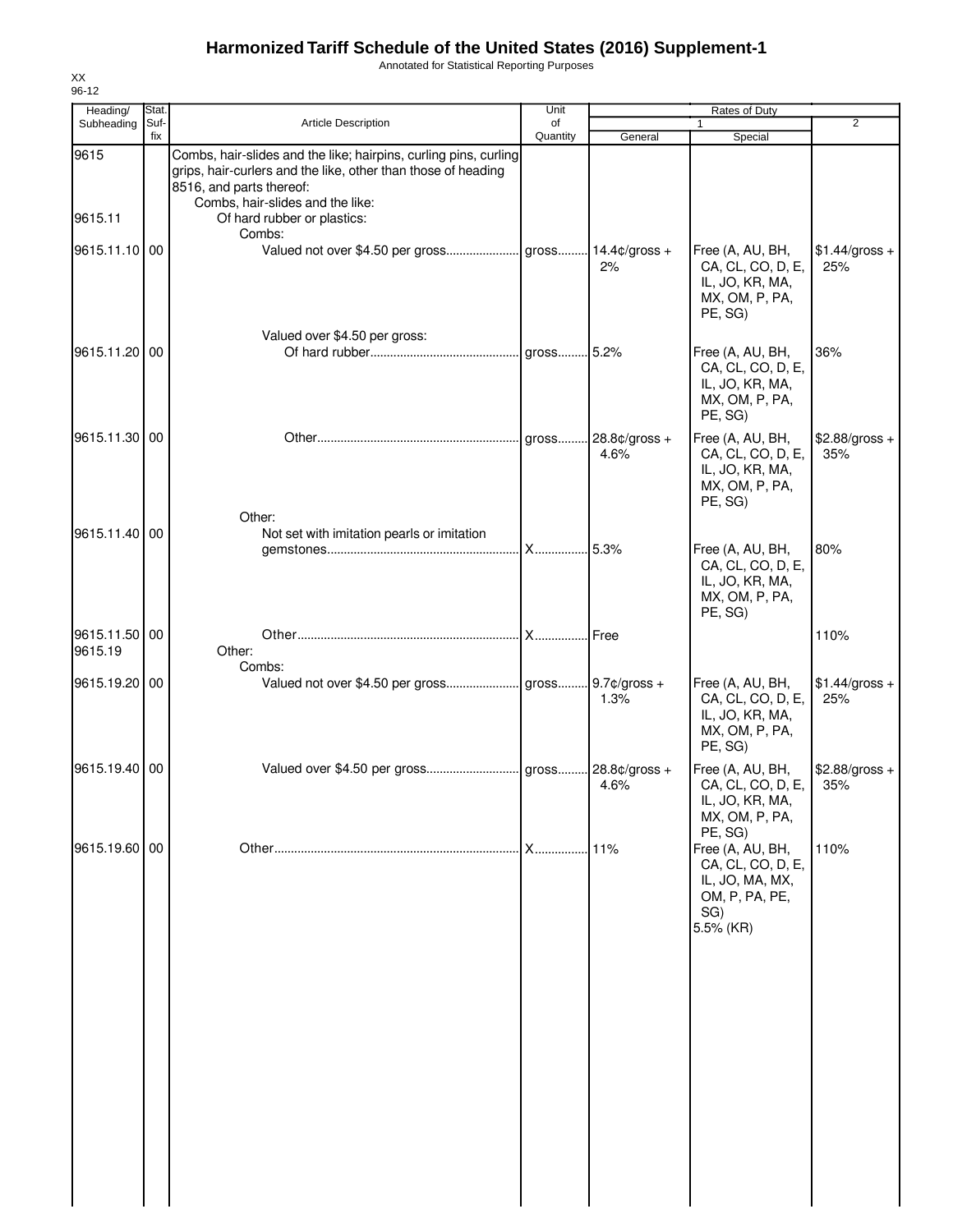Annotated for Statistical Reporting Purposes

| Heading/                 | Stat.       |                                                                                                                                                                                                   | Unit           |                        | Rates of Duty                                                                                  |                        |
|--------------------------|-------------|---------------------------------------------------------------------------------------------------------------------------------------------------------------------------------------------------|----------------|------------------------|------------------------------------------------------------------------------------------------|------------------------|
| Subheading               | Suf-<br>fix | Article Description                                                                                                                                                                               | of<br>Quantity | General                | $\mathbf{1}$<br>Special                                                                        | $\overline{2}$         |
| 9615                     |             | Combs, hair-slides and the like; hairpins, curling pins, curling<br>grips, hair-curlers and the like, other than those of heading<br>8516, and parts thereof:<br>Combs, hair-slides and the like: |                |                        |                                                                                                |                        |
| 9615.11                  |             | Of hard rubber or plastics:<br>Combs:                                                                                                                                                             |                |                        |                                                                                                |                        |
| 9615.11.10 00            |             | Valued not over \$4.50 per gross gross                                                                                                                                                            |                | $14.4¢$ /gross +<br>2% | Free (A, AU, BH,<br>CA, CL, CO, D, E,<br>IL, JO, KR, MA,<br>MX, OM, P, PA,<br>PE, SG)          | $$1.44/gross +$<br>25% |
| 9615.11.20               | 00          | Valued over \$4.50 per gross:                                                                                                                                                                     |                |                        | Free (A, AU, BH,<br>CA, CL, CO, D, E,<br>IL, JO, KR, MA,<br>MX, OM, P, PA,<br>PE, SG)          | 36%                    |
| 9615.11.30 00            |             | Other:                                                                                                                                                                                            |                | 28.8¢/gross +<br>4.6%  | Free (A, AU, BH,<br>CA, CL, CO, D, E,<br>IL, JO, KR, MA,<br>MX, OM, P, PA,<br>PE, SG)          | \$2.88/gross +<br>35%  |
| 9615.11.40 00            |             | Not set with imitation pearls or imitation                                                                                                                                                        |                | .5.3%                  | Free (A, AU, BH,<br>CA, CL, CO, D, E,<br>IL, JO, KR, MA,<br>MX, OM, P, PA,<br>PE, SG)          | 80%                    |
| 9615.11.50 00<br>9615.19 |             | Other:<br>Combs:                                                                                                                                                                                  |                | Free                   |                                                                                                | 110%                   |
| 9615.19.20 00            |             |                                                                                                                                                                                                   |                | 1.3%                   | Free (A, AU, BH,<br>CA, CL, CO, D, E,<br>IL, JO, KR, MA,<br>MX, OM, P, PA,<br>PE, SG)          | $$1.44/gross +$<br>25% |
| 9615.19.40 00            |             |                                                                                                                                                                                                   |                | 4.6%                   | Free (A, AU, BH,<br>CA, CL, CO, D, E,<br>IL, JO, KR, MA,<br>MX, OM, P, PA,<br>PE, SG)          | $$2.88/gross +$<br>35% |
| 9615.19.60 00            |             |                                                                                                                                                                                                   | .              | 11%                    | Free (A, AU, BH,<br>CA, CL, CO, D, E,<br>IL, JO, MA, MX,<br>OM, P, PA, PE,<br>SG)<br>5.5% (KR) | 110%                   |
|                          |             |                                                                                                                                                                                                   |                |                        |                                                                                                |                        |

XX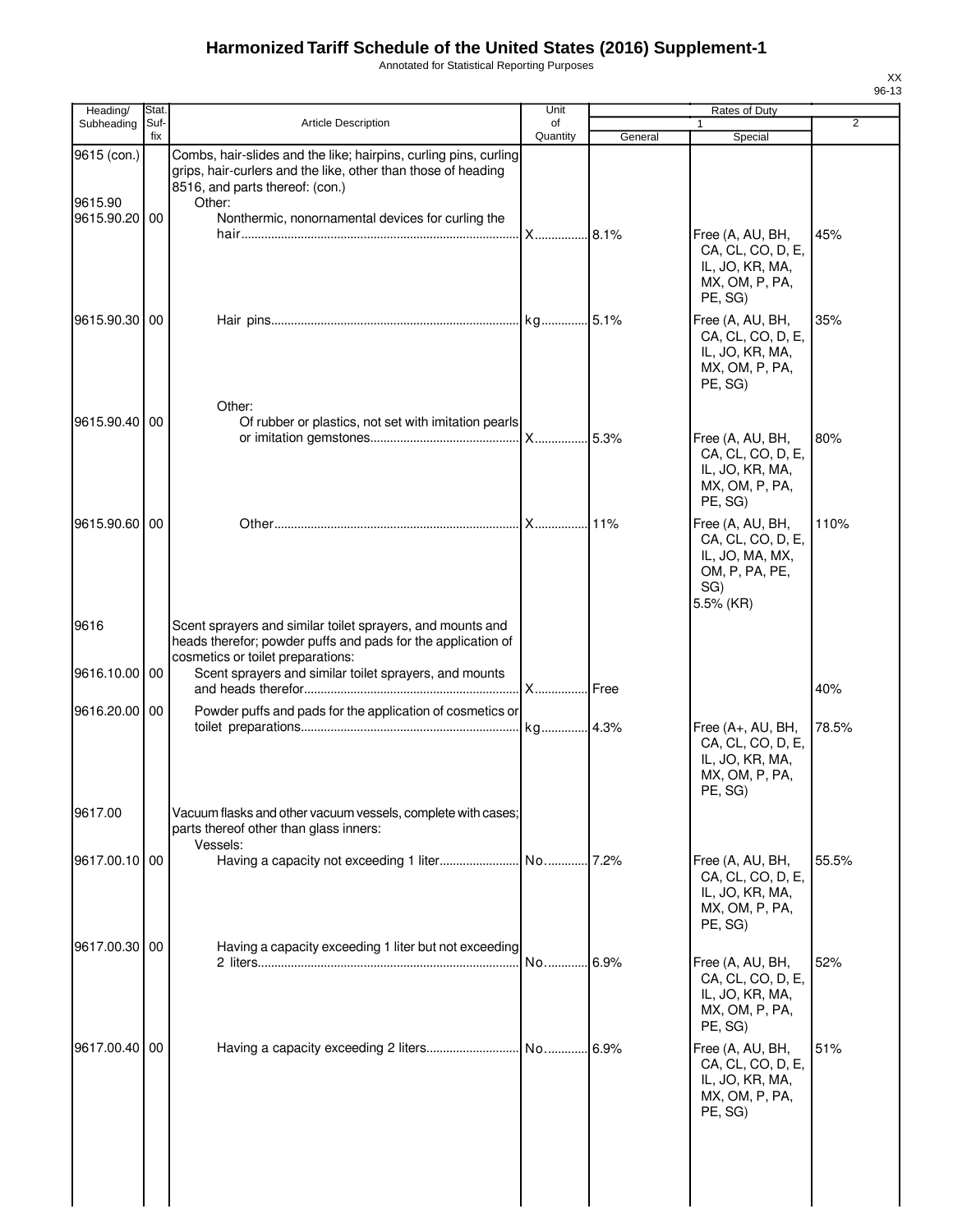Annotated for Statistical Reporting Purposes

| Heading/               | Stat.       |                                                                                                                                                                                | Unit           |         | Rates of Duty                                                                                    |       |
|------------------------|-------------|--------------------------------------------------------------------------------------------------------------------------------------------------------------------------------|----------------|---------|--------------------------------------------------------------------------------------------------|-------|
| Subheading             | Suf-<br>fix | <b>Article Description</b>                                                                                                                                                     | of<br>Quantity | General | $\mathbf{1}$<br>Special                                                                          | 2     |
| 9615 (con.)<br>9615.90 |             | Combs, hair-slides and the like; hairpins, curling pins, curling<br>grips, hair-curlers and the like, other than those of heading<br>8516, and parts thereof: (con.)<br>Other: |                |         |                                                                                                  |       |
| 9615.90.20 00          |             | Nonthermic, nonornamental devices for curling the                                                                                                                              | X 8.1%         |         | Free (A, AU, BH,<br>CA, CL, CO, D, E,<br>IL, JO, KR, MA,<br>MX, OM, P, PA,                       | 45%   |
| 9615.90.30 00          |             |                                                                                                                                                                                |                |         | PE, SG)<br>Free (A, AU, BH,<br>CA, CL, CO, D, E,<br>IL, JO, KR, MA,<br>MX, OM, P, PA,<br>PE, SG) | 35%   |
| 9615.90.40             | 00          | Other:<br>Of rubber or plastics, not set with imitation pearls                                                                                                                 |                |         | Free (A, AU, BH,<br>CA, CL, CO, D, E,                                                            | 80%   |
| 9615.90.60 00          |             |                                                                                                                                                                                |                |         | IL, JO, KR, MA,<br>MX, OM, P, PA,<br>PE, SG)<br>Free (A, AU, BH,                                 | 110%  |
|                        |             |                                                                                                                                                                                |                |         | CA, CL, CO, D, E,<br>IL, JO, MA, MX,<br>OM, P, PA, PE,<br>SG)<br>5.5% (KR)                       |       |
| 9616                   |             | Scent sprayers and similar toilet sprayers, and mounts and<br>heads therefor; powder puffs and pads for the application of<br>cosmetics or toilet preparations:                |                |         |                                                                                                  |       |
| 9616.10.00             | 00          | Scent sprayers and similar toilet sprayers, and mounts                                                                                                                         | X              | Free    |                                                                                                  | 40%   |
| 9616.20.00 00          |             | Powder puffs and pads for the application of cosmetics or                                                                                                                      |                |         | Free (A+, AU, BH,<br>CA, CL, CO, D, E,<br>IL, JO, KR, MA,<br>MX, OM, P, PA,<br>PE, SG)           | 78.5% |
| 9617.00                |             | Vacuum flasks and other vacuum vessels, complete with cases;<br>parts thereof other than glass inners:<br>Vessels:                                                             |                |         |                                                                                                  |       |
| 9617.00.10 00          |             |                                                                                                                                                                                |                |         | Free (A, AU, BH,<br>CA, CL, CO, D, E,<br>IL, JO, KR, MA,<br>MX, OM, P, PA,<br>PE, SG)            | 55.5% |
| 9617.00.30 00          |             | Having a capacity exceeding 1 liter but not exceeding                                                                                                                          | No             | 6.9%    | Free (A, AU, BH,<br>CA, CL, CO, D, E,<br>IL, JO, KR, MA,<br>MX, OM, P, PA,<br>PE, SG)            | 52%   |
| 9617.00.40 00          |             |                                                                                                                                                                                |                | 6.9%    | Free (A, AU, BH,<br>CA, CL, CO, D, E,<br>IL, JO, KR, MA,<br>MX, OM, P, PA,<br>PE, SG)            | 51%   |
|                        |             |                                                                                                                                                                                |                |         |                                                                                                  |       |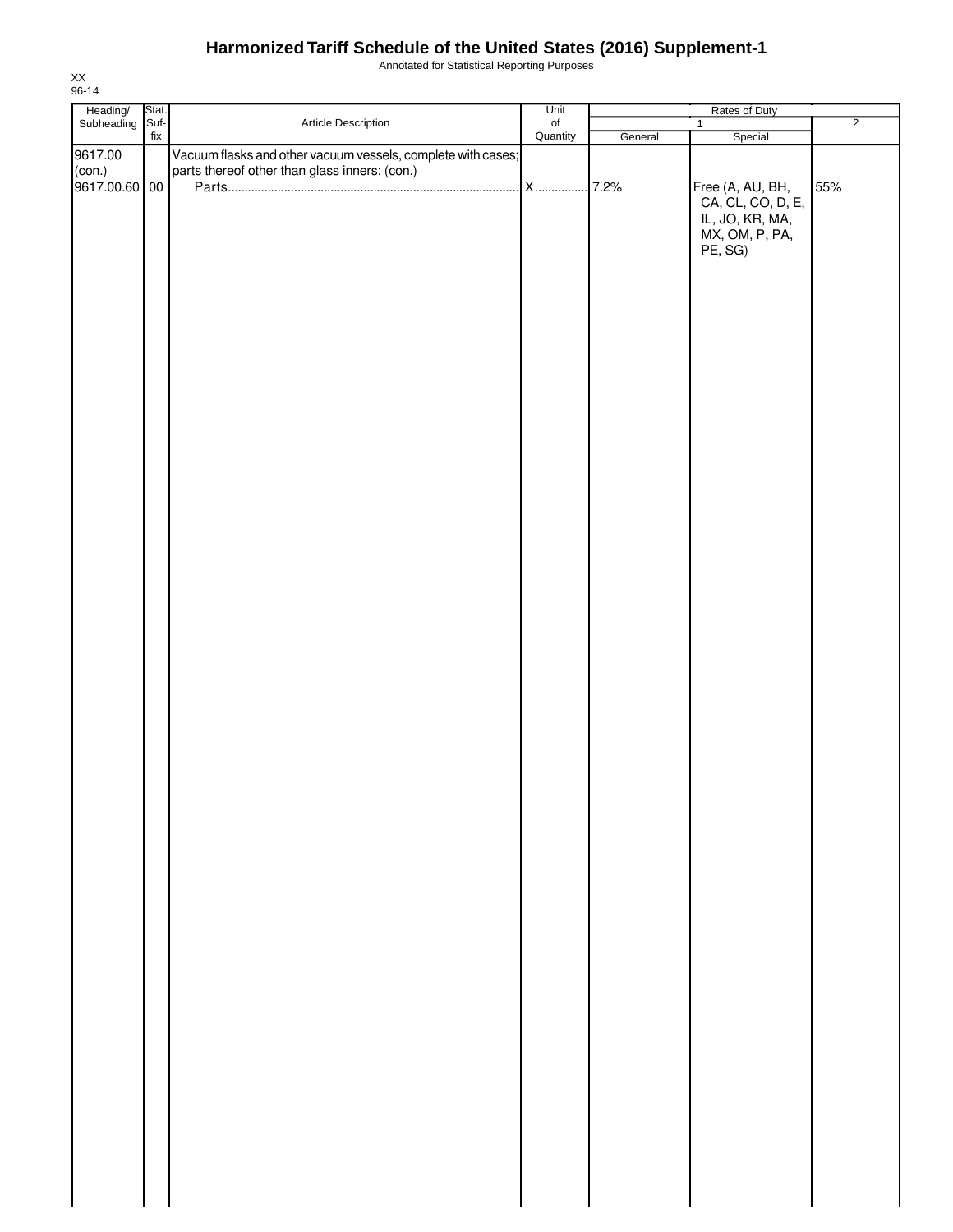Annotated for Statistical Reporting Purposes

| Heading/<br>Subheading | Stat. |                                                              | Unit           | Rates of Duty |                                       |                |  |
|------------------------|-------|--------------------------------------------------------------|----------------|---------------|---------------------------------------|----------------|--|
|                        | Suf-  | Article Description                                          | of<br>Quantity |               | $\mathbf{1}$                          | $\overline{2}$ |  |
|                        | fix   |                                                              |                | General       | Special                               |                |  |
| 9617.00                |       | Vacuum flasks and other vacuum vessels, complete with cases; |                |               |                                       |                |  |
| (con.)                 |       | parts thereof other than glass inners: (con.)                |                |               |                                       |                |  |
| 9617.00.60 00          |       |                                                              |                |               | Free (A, AU, BH,<br>CA, CL, CO, D, E, | 55%            |  |
|                        |       |                                                              |                |               |                                       |                |  |
|                        |       |                                                              |                |               |                                       |                |  |
|                        |       |                                                              |                |               | IL, JO, KR, MA,                       |                |  |
|                        |       |                                                              |                |               | MX, OM, P, PA,                        |                |  |
|                        |       |                                                              |                |               | PE, SG)                               |                |  |
|                        |       |                                                              |                |               |                                       |                |  |
|                        |       |                                                              |                |               |                                       |                |  |
|                        |       |                                                              |                |               |                                       |                |  |
|                        |       |                                                              |                |               |                                       |                |  |
|                        |       |                                                              |                |               |                                       |                |  |
|                        |       |                                                              |                |               |                                       |                |  |
|                        |       |                                                              |                |               |                                       |                |  |
|                        |       |                                                              |                |               |                                       |                |  |
|                        |       |                                                              |                |               |                                       |                |  |
|                        |       |                                                              |                |               |                                       |                |  |
|                        |       |                                                              |                |               |                                       |                |  |
|                        |       |                                                              |                |               |                                       |                |  |
|                        |       |                                                              |                |               |                                       |                |  |
|                        |       |                                                              |                |               |                                       |                |  |
|                        |       |                                                              |                |               |                                       |                |  |
|                        |       |                                                              |                |               |                                       |                |  |
|                        |       |                                                              |                |               |                                       |                |  |
|                        |       |                                                              |                |               |                                       |                |  |
|                        |       |                                                              |                |               |                                       |                |  |
|                        |       |                                                              |                |               |                                       |                |  |
|                        |       |                                                              |                |               |                                       |                |  |
|                        |       |                                                              |                |               |                                       |                |  |
|                        |       |                                                              |                |               |                                       |                |  |
|                        |       |                                                              |                |               |                                       |                |  |
|                        |       |                                                              |                |               |                                       |                |  |
|                        |       |                                                              |                |               |                                       |                |  |
|                        |       |                                                              |                |               |                                       |                |  |
|                        |       |                                                              |                |               |                                       |                |  |
|                        |       |                                                              |                |               |                                       |                |  |
|                        |       |                                                              |                |               |                                       |                |  |
|                        |       |                                                              |                |               |                                       |                |  |
|                        |       |                                                              |                |               |                                       |                |  |
|                        |       |                                                              |                |               |                                       |                |  |
|                        |       |                                                              |                |               |                                       |                |  |
|                        |       |                                                              |                |               |                                       |                |  |
|                        |       |                                                              |                |               |                                       |                |  |
|                        |       |                                                              |                |               |                                       |                |  |
|                        |       |                                                              |                |               |                                       |                |  |
|                        |       |                                                              |                |               |                                       |                |  |
|                        |       |                                                              |                |               |                                       |                |  |
|                        |       |                                                              |                |               |                                       |                |  |
|                        |       |                                                              |                |               |                                       |                |  |
|                        |       |                                                              |                |               |                                       |                |  |
|                        |       |                                                              |                |               |                                       |                |  |
|                        |       |                                                              |                |               |                                       |                |  |
|                        |       |                                                              |                |               |                                       |                |  |
|                        |       |                                                              |                |               |                                       |                |  |
|                        |       |                                                              |                |               |                                       |                |  |
|                        |       |                                                              |                |               |                                       |                |  |
|                        |       |                                                              |                |               |                                       |                |  |
|                        |       |                                                              |                |               |                                       |                |  |
|                        |       |                                                              |                |               |                                       |                |  |
|                        |       |                                                              |                |               |                                       |                |  |
|                        |       |                                                              |                |               |                                       |                |  |
|                        |       |                                                              |                |               |                                       |                |  |
|                        |       |                                                              |                |               |                                       |                |  |
|                        |       |                                                              |                |               |                                       |                |  |
|                        |       |                                                              |                |               |                                       |                |  |
|                        |       |                                                              |                |               |                                       |                |  |
|                        |       |                                                              |                |               |                                       |                |  |
|                        |       |                                                              |                |               |                                       |                |  |
|                        |       |                                                              |                |               |                                       |                |  |
|                        |       |                                                              |                |               |                                       |                |  |
|                        |       |                                                              |                |               |                                       |                |  |
|                        |       |                                                              |                |               |                                       |                |  |
|                        |       |                                                              |                |               |                                       |                |  |
|                        |       |                                                              |                |               |                                       |                |  |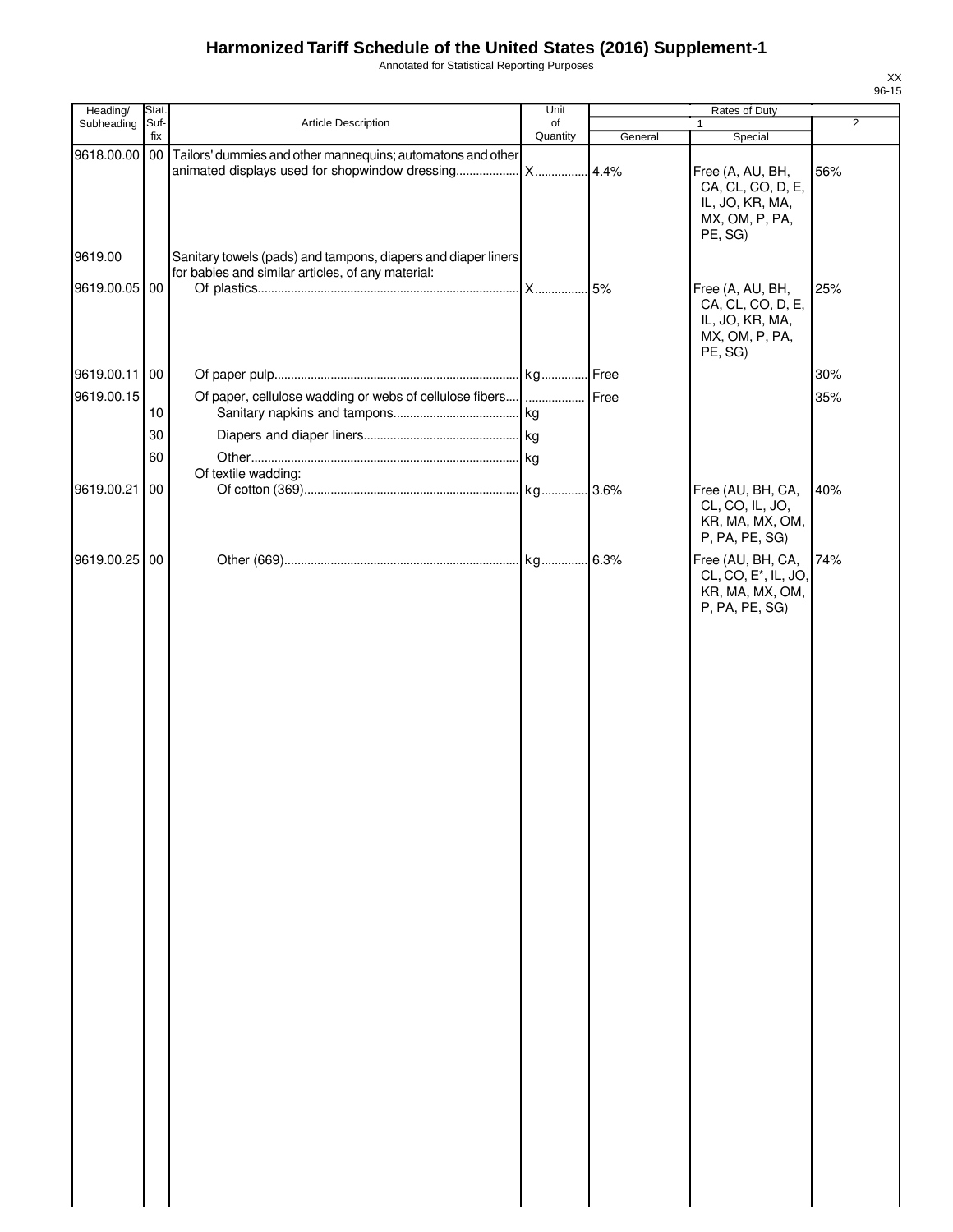Annotated for Statistical Reporting Purposes

| i uiposco     |         |                                                                                            |                | XX    |
|---------------|---------|--------------------------------------------------------------------------------------------|----------------|-------|
|               |         |                                                                                            |                | 96-15 |
| Unit          |         |                                                                                            |                |       |
| of<br>Jantity | General | 1<br>Special                                                                               | $\overline{2}$ |       |
|               |         |                                                                                            |                |       |
|               | 4.4%    | Free (A, AU, BH,<br>CA, CL, CO, D, E,<br>IL, JO, KR, MA,<br>MX, OM, P, PA,<br>PE, SG)      | 56%            |       |
|               | 5%      | Free (A, AU, BH,<br>CA, CL, CO, D, E,<br>IL, JO, KR, MA,<br>MX, OM, P, PA,<br>PE, SG)      | 25%            |       |
|               | Free    |                                                                                            | 30%            |       |
|               |         |                                                                                            |                |       |
|               | Free    |                                                                                            | 35%            |       |
|               | 3.6%    | Free (AU, BH, CA,<br>CL, CO, IL, JO,<br>KR, MA, MX, OM,<br>P, PA, PE, SG)                  | 40%            |       |
|               | 6.3%    | Free (AU, BH, CA,<br>CL, CO, E <sup>*</sup> , IL, JO,<br>KR, MA, MX, OM,<br>P, PA, PE, SG) | 74%            |       |
|               |         |                                                                                            |                |       |

| Heading/      | Stat.       |                                                               | Unit           |         | Rates of Duty                                                                              |                |
|---------------|-------------|---------------------------------------------------------------|----------------|---------|--------------------------------------------------------------------------------------------|----------------|
| Subheading    | Suf-<br>fix | Article Description                                           | of<br>Quantity | General | 1                                                                                          | $\overline{2}$ |
|               |             | Tailors' dummies and other mannequins; automatons and other   |                |         | Special                                                                                    |                |
| 9618.00.00 00 |             |                                                               |                | .4.4%   | Free (A, AU, BH,<br>CA, CL, CO, D, E,<br>IL, JO, KR, MA,<br>MX, OM, P, PA,<br>PE, SG)      | 56%            |
| 9619.00       |             | Sanitary towels (pads) and tampons, diapers and diaper liners |                |         |                                                                                            |                |
| 9619.00.05 00 |             | for babies and similar articles, of any material:             |                |         | Free (A, AU, BH,<br>CA, CL, CO, D, E,<br>IL, JO, KR, MA,<br>MX, OM, P, PA,<br>PE, SG)      | 25%            |
|               |             |                                                               |                |         |                                                                                            |                |
| 9619.00.11 00 |             |                                                               |                |         |                                                                                            | 30%            |
| 9619.00.15    | 10          | Of paper, cellulose wadding or webs of cellulose fibers       |                | Free    |                                                                                            | 35%            |
|               | 30          |                                                               |                |         |                                                                                            |                |
|               | 60          |                                                               |                |         |                                                                                            |                |
|               |             | Of textile wadding:                                           |                |         |                                                                                            |                |
| 9619.00.21    | 00          |                                                               |                |         | Free (AU, BH, CA,<br>CL, CO, IL, JO,<br>KR, MA, MX, OM,<br>P, PA, PE, SG)                  | 40%            |
| 9619.00.25 00 |             |                                                               |                |         | Free (AU, BH, CA,<br>CL, CO, E <sup>*</sup> , IL, JO,<br>KR, MA, MX, OM,<br>P, PA, PE, SG) | 74%            |
|               |             |                                                               |                |         |                                                                                            |                |
|               |             |                                                               |                |         |                                                                                            |                |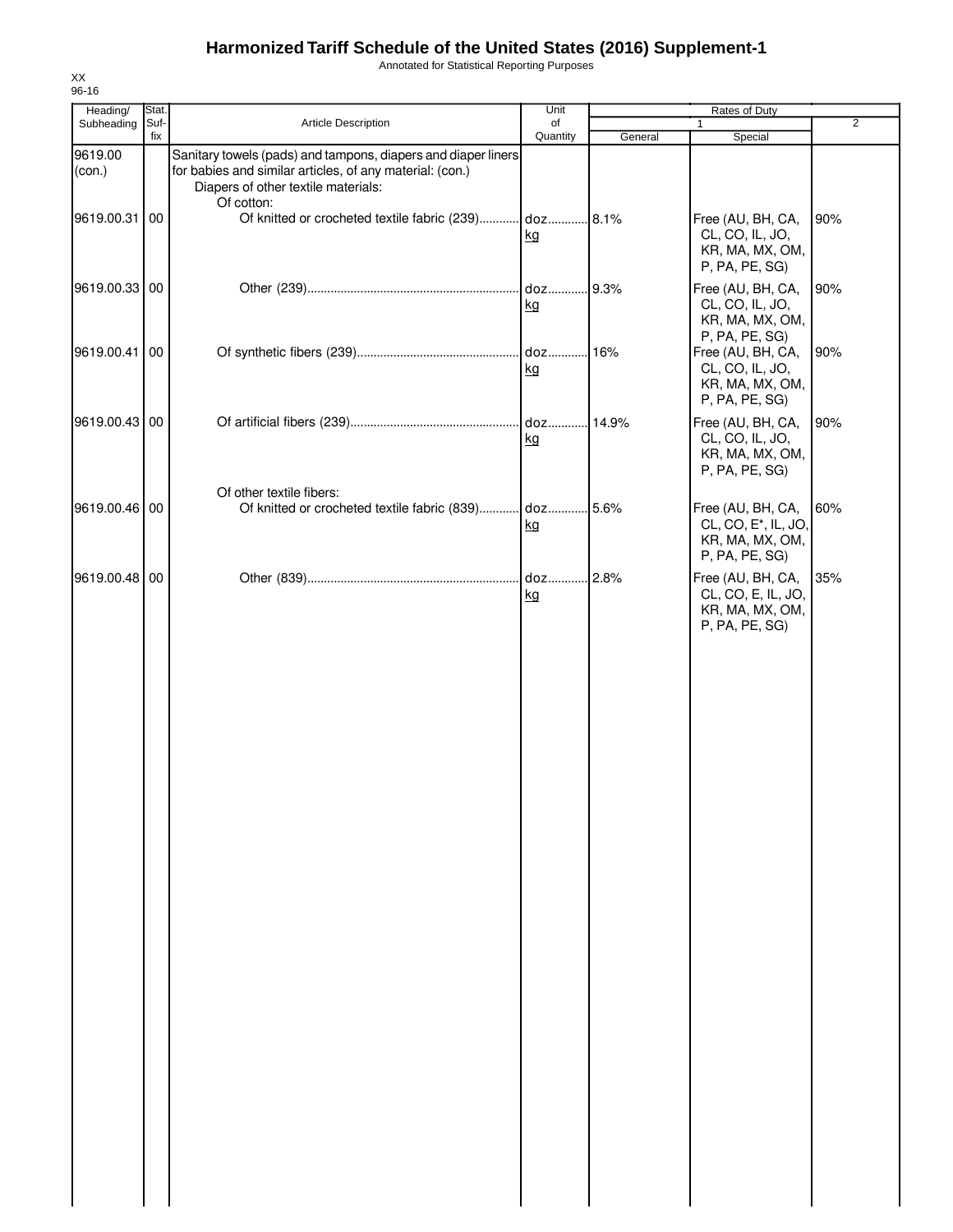Annotated for Statistical Reporting Purposes

| Heading/<br>Subheading | Stat.<br>Suf- | Article Description                                                                                                                                                            | Unit<br>of |         | Rates of Duty<br>$\mathbf{1}$                                                 | $\overline{2}$ |
|------------------------|---------------|--------------------------------------------------------------------------------------------------------------------------------------------------------------------------------|------------|---------|-------------------------------------------------------------------------------|----------------|
|                        | fix           |                                                                                                                                                                                | Quantity   | General | Special                                                                       |                |
| 9619.00<br>(con.)      |               | Sanitary towels (pads) and tampons, diapers and diaper liners<br>for babies and similar articles, of any material: (con.)<br>Diapers of other textile materials:<br>Of cotton: |            |         |                                                                               |                |
| 9619.00.31             | 00            | Of knitted or crocheted textile fabric (239) doz 8.1%                                                                                                                          | kg         |         | Free (AU, BH, CA,<br>CL, CO, IL, JO,<br>KR, MA, MX, OM,<br>P, PA, PE, SG)     | 90%            |
| 9619.00.33 00          |               |                                                                                                                                                                                | kg         |         | Free (AU, BH, CA,<br>CL, CO, IL, JO,<br>KR, MA, MX, OM,<br>P, PA, PE, SG)     | 90%            |
| 9619.00.41 00          |               |                                                                                                                                                                                | kg         |         | Free (AU, BH, CA,<br>CL, CO, IL, JO,<br>KR, MA, MX, OM,<br>P, PA, PE, SG)     | 90%            |
| 9619.00.43 00          |               |                                                                                                                                                                                | kg         |         | Free (AU, BH, CA,<br>CL, CO, IL, JO,<br>KR, MA, MX, OM,<br>P, PA, PE, SG)     | 90%            |
| 9619.00.46 00          |               | Of other textile fibers:                                                                                                                                                       | kg         |         | Free (AU, BH, CA,<br>CL, CO, E*, IL, JO,<br>KR, MA, MX, OM,<br>P, PA, PE, SG) | 60%            |
| 9619.00.48 00          |               |                                                                                                                                                                                | kg         |         | Free (AU, BH, CA,<br>CL, CO, E, IL, JO,<br>KR, MA, MX, OM,<br>P, PA, PE, SG)  | 35%            |
|                        |               |                                                                                                                                                                                |            |         |                                                                               |                |
|                        |               |                                                                                                                                                                                |            |         |                                                                               |                |
|                        |               |                                                                                                                                                                                |            |         |                                                                               |                |
|                        |               |                                                                                                                                                                                |            |         |                                                                               |                |
|                        |               |                                                                                                                                                                                |            |         |                                                                               |                |
|                        |               |                                                                                                                                                                                |            |         |                                                                               |                |
|                        |               |                                                                                                                                                                                |            |         |                                                                               |                |

XX